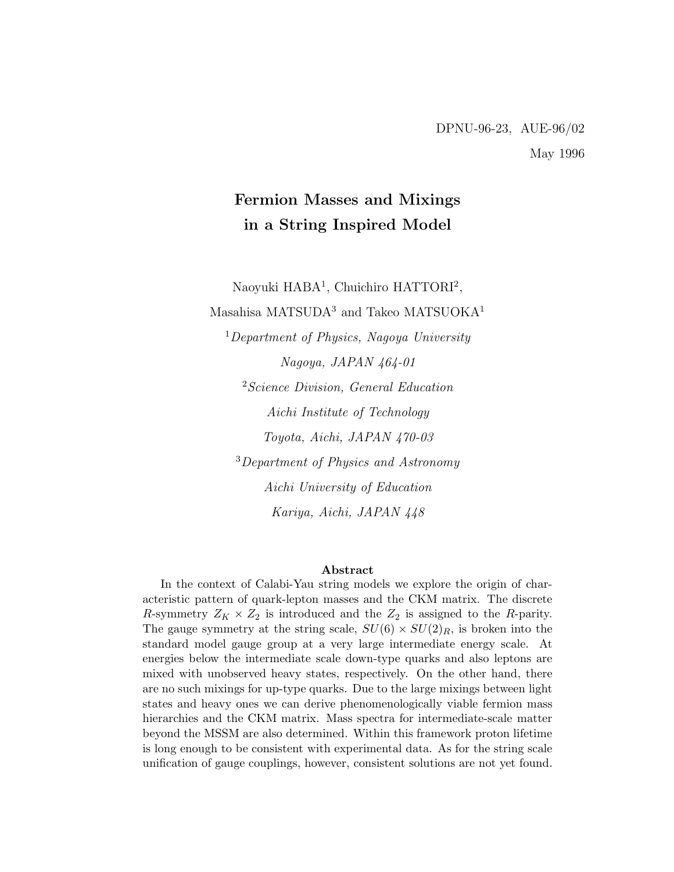# Fermion Masses and Mixings in a String Inspired Model

Naoyuki HABA<sup>1</sup>, Chuichiro HATTORI<sup>2</sup>,

Masahisa MATSUDA<sup>3</sup> and Takeo MATSUOKA<sup>1</sup>

 $1$ Department of Physics, Nagoya University Nagoya, JAPAN 464-01 <sup>2</sup> Science Division, General Education Aichi Institute of Technology Toyota, Aichi, JAPAN 470-03

<sup>3</sup>Department of Physics and Astronomy Aichi University of Education Kariya, Aichi, JAPAN 448

#### Abstract

In the context of Calabi-Yau string models we explore the origin of characteristic pattern of quark-lepton masses and the CKM matrix. The discrete R-symmetry  $Z_K \times Z_2$  is introduced and the  $Z_2$  is assigned to the R-parity. The gauge symmetry at the string scale,  $SU(6) \times SU(2)_R$ , is broken into the standard model gauge group at a very large intermediate energy scale. At energies below the intermediate scale down-type quarks and also leptons are mixed with unobserved heavy states, respectively. On the other hand, there are no such mixings for up-type quarks. Due to the large mixings between light states and heavy ones we can derive phenomenologically viable fermion mass hierarchies and the CKM matrix. Mass spectra for intermediate-scale matter beyond the MSSM are also determined. Within this framework proton lifetime is long enough to be consistent with experimental data. As for the string scale unification of gauge couplings, however, consistent solutions are not yet found.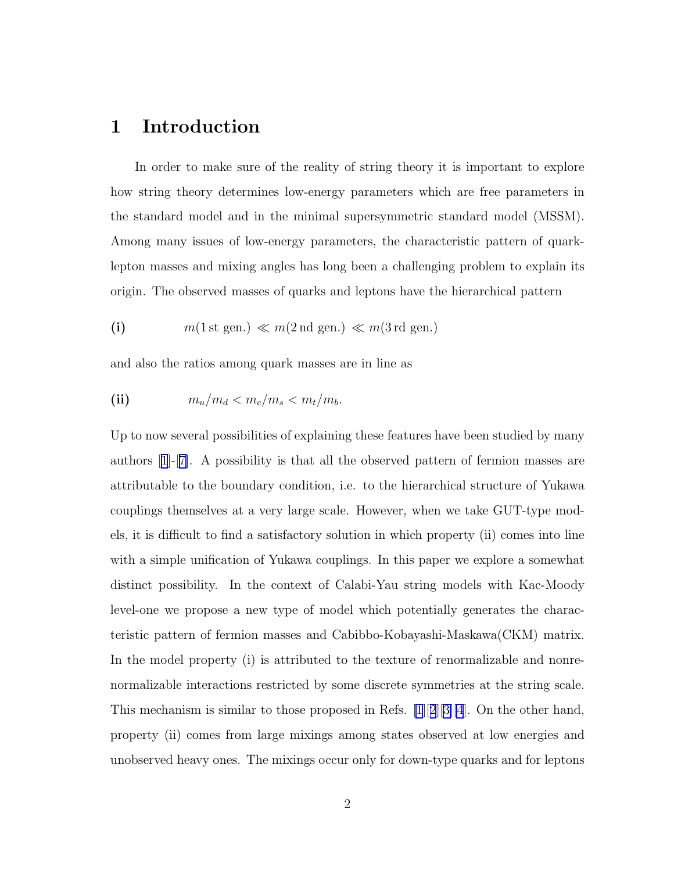## 1 Introduction

In order to make sure of the reality of string theory it is important to explore how string theory determines low-energy parameters which are free parameters in the standard model and in the minimal supersymmetric standard model (MSSM). Among many issues of low-energy parameters, the characteristic pattern of quarklepton masses and mixing angles has long been a challenging problem to explain its origin. The observed masses of quarks and leptons have the hierarchical pattern

(i) 
$$
m(1 \text{ st gen.}) \ll m(2 \text{ nd gen.}) \ll m(3 \text{ rd gen.})
$$

and also the ratios among quark masses are in line as

(ii) 
$$
m_u/m_d < m_c/m_s < m_t/m_b.
$$

Up to now several possibilities of explaining these features have been studied by many authors[[1](#page-43-0)]-[[7\]](#page-44-0). A possibility is that all the observed pattern of fermion masses are attributable to the boundary condition, i.e. to the hierarchical structure of Yukawa couplings themselves at a very large scale. However, when we take GUT-type models, it is difficult to find a satisfactory solution in which property (ii) comes into line with a simple unification of Yukawa couplings. In this paper we explore a somewhat distinct possibility. In the context of Calabi-Yau string models with Kac-Moody level-one we propose a new type of model which potentially generates the characteristic pattern of fermion masses and Cabibbo-Kobayashi-Maskawa(CKM) matrix. In the model property (i) is attributed to the texture of renormalizable and nonrenormalizable interactions restricted by some discrete symmetries at the string scale. This mechanism is similar to those proposed in Refs. [\[1](#page-43-0)][[2](#page-43-0)][\[3\]\[4](#page-43-0)]. On the other hand, property (ii) comes from large mixings among states observed at low energies and unobserved heavy ones. The mixings occur only for down-type quarks and for leptons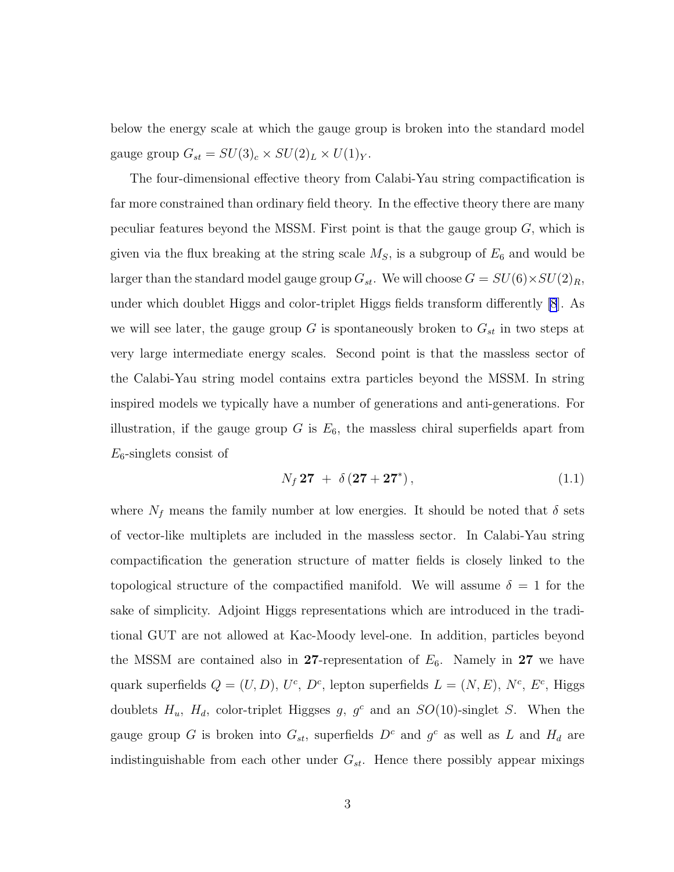below the energy scale at which the gauge group is broken into the standard model gauge group  $G_{st} = SU(3)_c \times SU(2)_L \times U(1)_Y$ .

The four-dimensional effective theory from Calabi-Yau string compactification is far more constrained than ordinary field theory. In the effective theory there are many peculiar features beyond the MSSM. First point is that the gauge group  $G$ , which is given via the flux breaking at the string scale  $M<sub>S</sub>$ , is a subgroup of  $E<sub>6</sub>$  and would be larger than the standard model gauge group  $G_{st}$ . We will choose  $G = SU(6) \times SU(2)_R$ , under which doublet Higgs and color-triplet Higgs fields transform differently [\[8](#page-44-0)]. As we will see later, the gauge group G is spontaneously broken to  $G_{st}$  in two steps at very large intermediate energy scales. Second point is that the massless sector of the Calabi-Yau string model contains extra particles beyond the MSSM. In string inspired models we typically have a number of generations and anti-generations. For illustration, if the gauge group G is  $E_6$ , the massless chiral superfields apart from  $E_6$ -singlets consist of

$$
N_f 27 + \delta (27 + 27^*) , \t\t(1.1)
$$

where  $N_f$  means the family number at low energies. It should be noted that  $\delta$  sets of vector-like multiplets are included in the massless sector. In Calabi-Yau string compactification the generation structure of matter fields is closely linked to the topological structure of the compactified manifold. We will assume  $\delta = 1$  for the sake of simplicity. Adjoint Higgs representations which are introduced in the traditional GUT are not allowed at Kac-Moody level-one. In addition, particles beyond the MSSM are contained also in 27-representation of  $E_6$ . Namely in 27 we have quark superfields  $Q = (U, D), U^c, D^c$ , lepton superfields  $L = (N, E), N^c, E^c$ , Higgs doublets  $H_u$ ,  $H_d$ , color-triplet Higgses g, g<sup>c</sup> and an  $SO(10)$ -singlet S. When the gauge group G is broken into  $G_{st}$ , superfields  $D^c$  and  $g^c$  as well as L and  $H_d$  are indistinguishable from each other under  $G_{st}$ . Hence there possibly appear mixings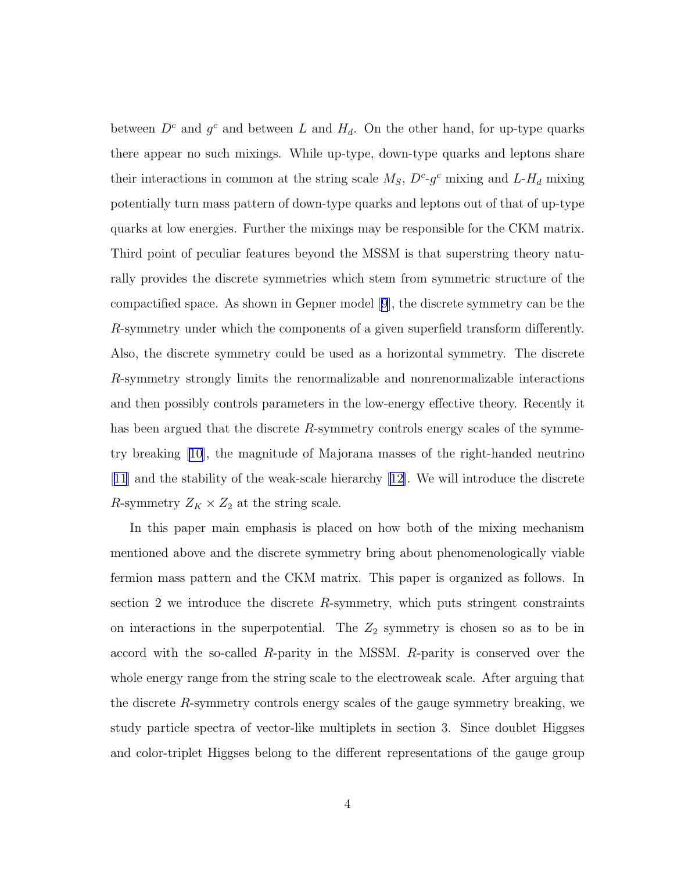between  $D^c$  and  $g^c$  and between L and  $H_d$ . On the other hand, for up-type quarks there appear no such mixings. While up-type, down-type quarks and leptons share their interactions in common at the string scale  $M_S$ ,  $D^c$ - $g^c$  mixing and  $L$ - $H_d$  mixing potentially turn mass pattern of down-type quarks and leptons out of that of up-type quarks at low energies. Further the mixings may be responsible for the CKM matrix. Third point of peculiar features beyond the MSSM is that superstring theory naturally provides the discrete symmetries which stem from symmetric structure of the compactified space. As shown in Gepner model[[9](#page-44-0)], the discrete symmetry can be the R-symmetry under which the components of a given superfield transform differently. Also, the discrete symmetry could be used as a horizontal symmetry. The discrete R-symmetry strongly limits the renormalizable and nonrenormalizable interactions and then possibly controls parameters in the low-energy effective theory. Recently it has been argued that the discrete R-symmetry controls energy scales of the symmetry breaking [\[10\]](#page-44-0), the magnitude of Majorana masses of the right-handed neutrino [[11](#page-44-0)] and the stability of the weak-scale hierarchy[[12\]](#page-44-0). We will introduce the discrete R-symmetry  $Z_K \times Z_2$  at the string scale.

In this paper main emphasis is placed on how both of the mixing mechanism mentioned above and the discrete symmetry bring about phenomenologically viable fermion mass pattern and the CKM matrix. This paper is organized as follows. In section 2 we introduce the discrete R-symmetry, which puts stringent constraints on interactions in the superpotential. The  $Z_2$  symmetry is chosen so as to be in accord with the so-called R-parity in the MSSM. R-parity is conserved over the whole energy range from the string scale to the electroweak scale. After arguing that the discrete R-symmetry controls energy scales of the gauge symmetry breaking, we study particle spectra of vector-like multiplets in section 3. Since doublet Higgses and color-triplet Higgses belong to the different representations of the gauge group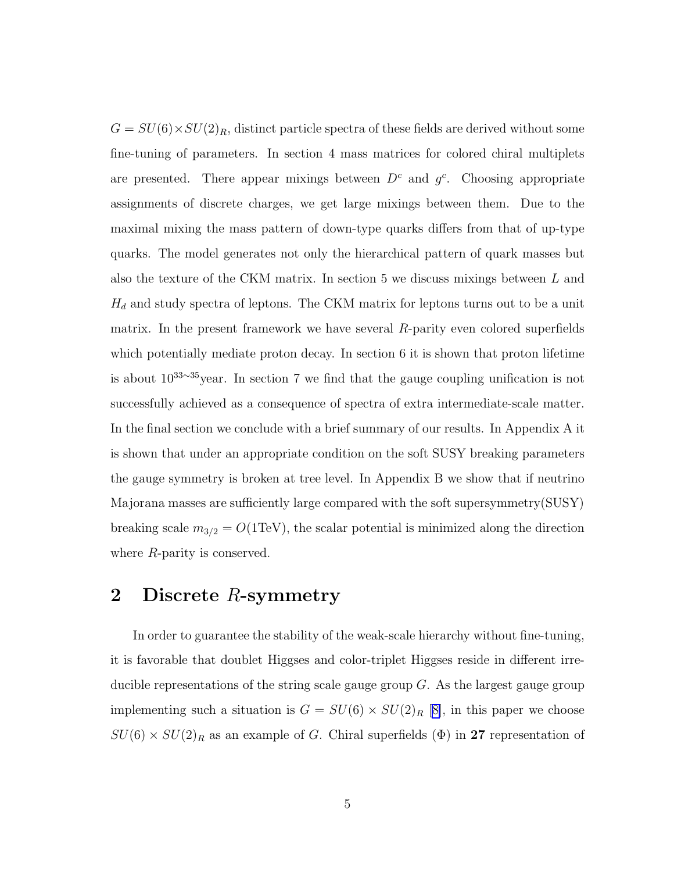$G = SU(6) \times SU(2)_R$ , distinct particle spectra of these fields are derived without some fine-tuning of parameters. In section 4 mass matrices for colored chiral multiplets are presented. There appear mixings between  $D<sup>c</sup>$  and  $g<sup>c</sup>$ . Choosing appropriate assignments of discrete charges, we get large mixings between them. Due to the maximal mixing the mass pattern of down-type quarks differs from that of up-type quarks. The model generates not only the hierarchical pattern of quark masses but also the texture of the CKM matrix. In section 5 we discuss mixings between L and  $H_d$  and study spectra of leptons. The CKM matrix for leptons turns out to be a unit matrix. In the present framework we have several R-parity even colored superfields which potentially mediate proton decay. In section 6 it is shown that proton lifetime is about 10<sup>33</sup>∼<sup>35</sup>year. In section 7 we find that the gauge coupling unification is not successfully achieved as a consequence of spectra of extra intermediate-scale matter. In the final section we conclude with a brief summary of our results. In Appendix A it is shown that under an appropriate condition on the soft SUSY breaking parameters the gauge symmetry is broken at tree level. In Appendix B we show that if neutrino Majorana masses are sufficiently large compared with the soft supersymmetry(SUSY) breaking scale  $m_{3/2} = O(1 \text{TeV})$ , the scalar potential is minimized along the direction where R-parity is conserved.

# 2 Discrete R-symmetry

In order to guarantee the stability of the weak-scale hierarchy without fine-tuning, it is favorable that doublet Higgses and color-triplet Higgses reside in different irreducible representations of the string scale gauge group  $G$ . As the largest gauge group implementing such a situation is  $G = SU(6) \times SU(2)_R$  [[8\]](#page-44-0), in this paper we choose  $SU(6) \times SU(2)_R$  as an example of G. Chiral superfields ( $\Phi$ ) in 27 representation of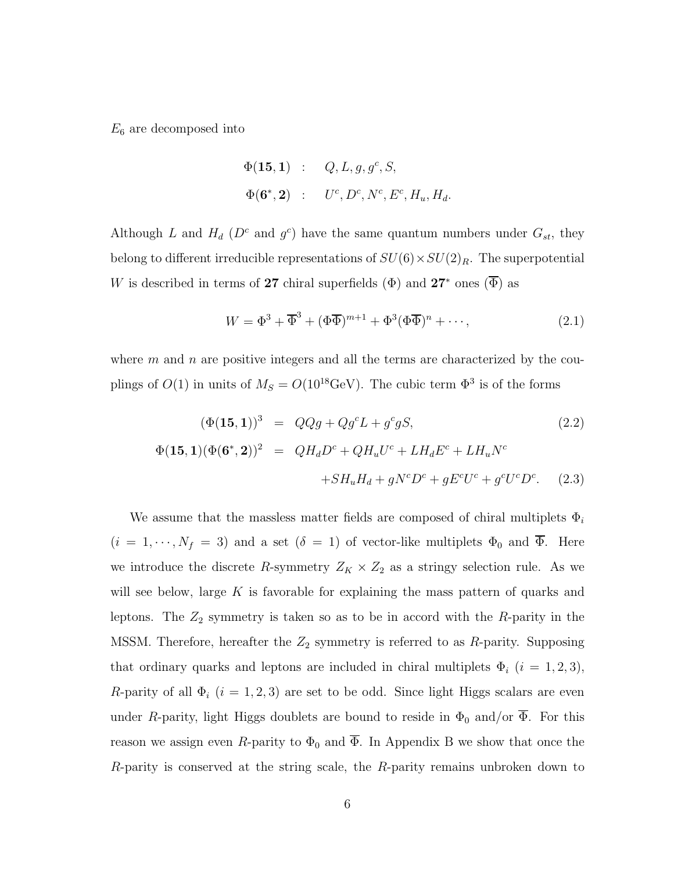$E_6$  are decomposed into

$$
\Phi(\mathbf{15}, \mathbf{1}) \; : \; Q, L, g, g^c, S, \n\Phi(\mathbf{6}^*, \mathbf{2}) \; : \; U^c, D^c, N^c, E^c, H_u, H_d.
$$

Although L and  $H_d$  ( $D^c$  and  $g^c$ ) have the same quantum numbers under  $G_{st}$ , they belong to different irreducible representations of  $SU(6) \times SU(2)_R$ . The superpotential W is described in terms of 27 chiral superfields  $(\Phi)$  and 27<sup>\*</sup> ones  $(\Phi)$  as

$$
W = \Phi^3 + \overline{\Phi}^3 + (\Phi \overline{\Phi})^{m+1} + \Phi^3 (\Phi \overline{\Phi})^n + \cdots,
$$
\n(2.1)

where  $m$  and  $n$  are positive integers and all the terms are characterized by the couplings of  $O(1)$  in units of  $M_S = O(10^{18} \text{GeV})$ . The cubic term  $\Phi^3$  is of the forms

$$
(\Phi(\mathbf{15}, \mathbf{1}))^3 = QQg + Qg^c L + g^c g S,
$$
\n
$$
\Phi(\mathbf{15}, \mathbf{1})(\Phi(\mathbf{6}^*, \mathbf{2}))^2 = QH_d D^c + QH_u U^c + L H_d E^c + L H_u N^c
$$
\n
$$
+ SH_u H_d + g N^c D^c + g E^c U^c + g^c U^c D^c. \tag{2.3}
$$

We assume that the massless matter fields are composed of chiral multiplets  $\Phi_i$  $(i = 1, \dots, N_f = 3)$  and a set  $(\delta = 1)$  of vector-like multiplets  $\Phi_0$  and  $\overline{\Phi}$ . Here we introduce the discrete R-symmetry  $Z_K \times Z_2$  as a stringy selection rule. As we will see below, large  $K$  is favorable for explaining the mass pattern of quarks and leptons. The  $Z_2$  symmetry is taken so as to be in accord with the R-parity in the MSSM. Therefore, hereafter the  $Z_2$  symmetry is referred to as R-parity. Supposing that ordinary quarks and leptons are included in chiral multiplets  $\Phi_i$  (i = 1, 2, 3), R-parity of all  $\Phi_i$  (i = 1, 2, 3) are set to be odd. Since light Higgs scalars are even under R-parity, light Higgs doublets are bound to reside in  $\Phi_0$  and/or  $\overline{\Phi}$ . For this reason we assign even R-parity to  $\Phi_0$  and  $\overline{\Phi}$ . In Appendix B we show that once the R-parity is conserved at the string scale, the R-parity remains unbroken down to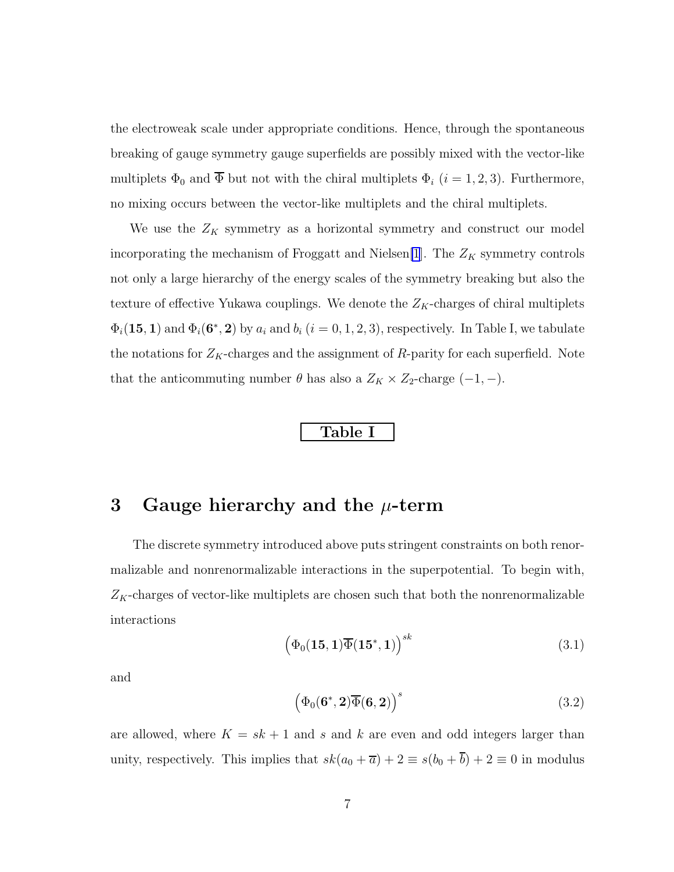the electroweak scale under appropriate conditions. Hence, through the spontaneous breaking of gauge symmetry gauge superfields are possibly mixed with the vector-like multiplets  $\Phi_0$  and  $\overline{\Phi}$  but not with the chiral multiplets  $\Phi_i$  ( $i = 1, 2, 3$ ). Furthermore, no mixing occurs between the vector-like multiplets and the chiral multiplets.

We use the  $Z_K$  symmetry as a horizontal symmetry and construct our model incorporating the mechanism of Froggatt and Nielsen[\[1](#page-43-0)]. The  $Z_K$  symmetry controls not only a large hierarchy of the energy scales of the symmetry breaking but also the texture of effective Yukawa couplings. We denote the  $Z_K$ -charges of chiral multiplets  $\Phi_i(\mathbf{15}, \mathbf{1})$  and  $\Phi_i(\mathbf{6^*}, \mathbf{2})$  by  $a_i$  and  $b_i$   $(i = 0, 1, 2, 3)$ , respectively. In Table I, we tabulate the notations for  $Z_K$ -charges and the assignment of  $R$ -parity for each superfield. Note that the anticommuting number  $\theta$  has also a  $Z_K \times Z_2$ -charge  $(-1, -)$ .

#### Table I

### 3 Gauge hierarchy and the  $\mu$ -term

The discrete symmetry introduced above puts stringent constraints on both renormalizable and nonrenormalizable interactions in the superpotential. To begin with,  $Z_K$ -charges of vector-like multiplets are chosen such that both the nonrenormalizable interactions

$$
\left(\Phi_0(\mathbf{15},\mathbf{1})\overline{\Phi}(\mathbf{15}^*,\mathbf{1})\right)^{sk} \tag{3.1}
$$

and

$$
\left(\Phi_0(\mathbf{6}^*, \mathbf{2})\overline{\Phi}(\mathbf{6}, \mathbf{2})\right)^s \tag{3.2}
$$

are allowed, where  $K = sk + 1$  and s and k are even and odd integers larger than unity, respectively. This implies that  $sk(a_0 + \overline{a}) + 2 \equiv s(b_0 + \overline{b}) + 2 \equiv 0$  in modulus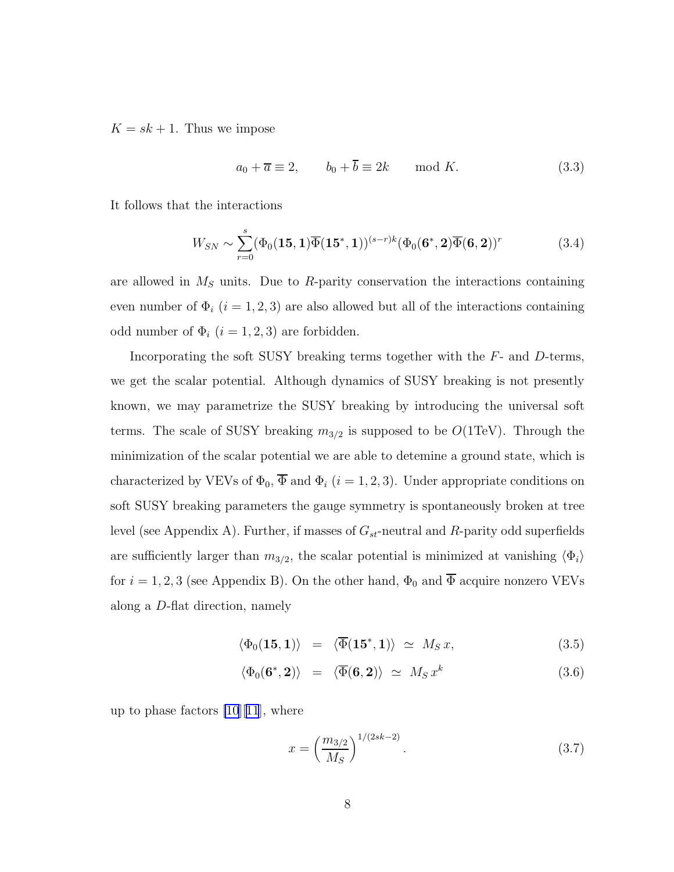<span id="page-7-0"></span> $K = sk + 1$ . Thus we impose

$$
a_0 + \overline{a} \equiv 2, \qquad b_0 + \overline{b} \equiv 2k \qquad \text{mod } K. \tag{3.3}
$$

It follows that the interactions

$$
W_{SN} \sim \sum_{r=0}^{s} (\Phi_0(\mathbf{15}, \mathbf{1}) \overline{\Phi}(\mathbf{15}^*, \mathbf{1}))^{(s-r)k} (\Phi_0(\mathbf{6}^*, \mathbf{2}) \overline{\Phi}(\mathbf{6}, \mathbf{2}))^r
$$
(3.4)

are allowed in  $M<sub>S</sub>$  units. Due to R-parity conservation the interactions containing even number of  $\Phi_i$  (i = 1, 2, 3) are also allowed but all of the interactions containing odd number of  $\Phi_i$   $(i = 1, 2, 3)$  are forbidden.

Incorporating the soft SUSY breaking terms together with the  $F-$  and  $D$ -terms, we get the scalar potential. Although dynamics of SUSY breaking is not presently known, we may parametrize the SUSY breaking by introducing the universal soft terms. The scale of SUSY breaking  $m_{3/2}$  is supposed to be  $O(1 \text{TeV})$ . Through the minimization of the scalar potential we are able to detemine a ground state, which is characterized by VEVs of  $\Phi_0$ ,  $\overline{\Phi}$  and  $\Phi_i$  (*i* = 1, 2, 3). Under appropriate conditions on soft SUSY breaking parameters the gauge symmetry is spontaneously broken at tree level (see Appendix A). Further, if masses of  $G_{st}$ -neutral and R-parity odd superfields are sufficiently larger than  $m_{3/2}$ , the scalar potential is minimized at vanishing  $\langle \Phi_i \rangle$ for  $i = 1, 2, 3$  (see Appendix B). On the other hand,  $\Phi_0$  and  $\overline{\Phi}$  acquire nonzero VEVs along a D-flat direction, namely

$$
\langle \Phi_0(\mathbf{15}, \mathbf{1}) \rangle = \langle \overline{\Phi}(\mathbf{15}^*, \mathbf{1}) \rangle \simeq M_S x, \tag{3.5}
$$

$$
\langle \Phi_0(\mathbf{6}^*, \mathbf{2}) \rangle = \langle \overline{\Phi}(\mathbf{6}, \mathbf{2}) \rangle \simeq M_S x^k \tag{3.6}
$$

up to phase factors  $[10][11]$  $[10][11]$  $[10][11]$ , where

$$
x = \left(\frac{m_{3/2}}{M_S}\right)^{1/(2sk-2)}.\tag{3.7}
$$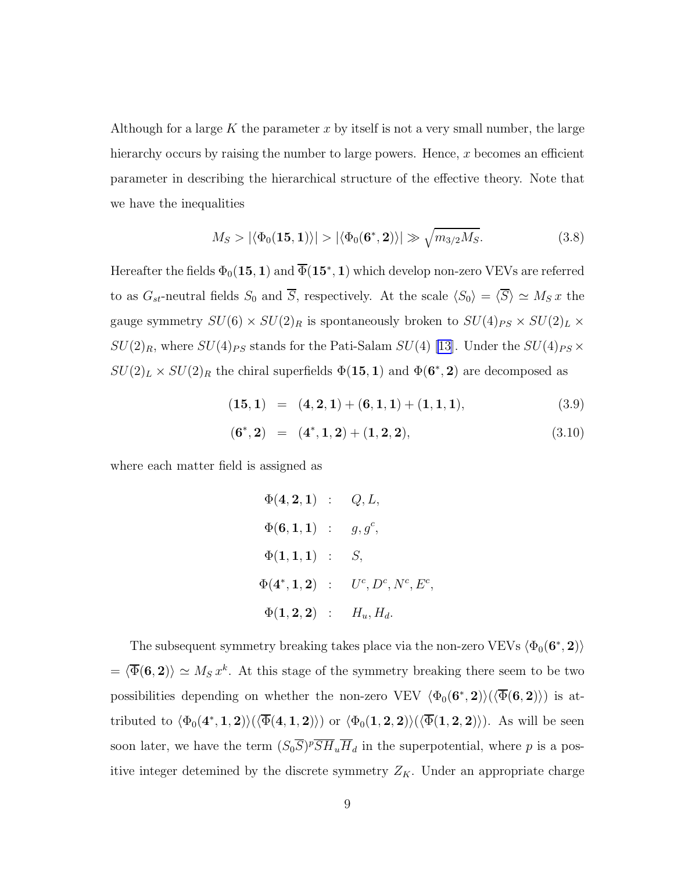Although for a large K the parameter x by itself is not a very small number, the large hierarchy occurs by raising the number to large powers. Hence,  $x$  becomes an efficient parameter in describing the hierarchical structure of the effective theory. Note that we have the inequalities

$$
M_S > |\langle \Phi_0(\mathbf{15}, \mathbf{1}) \rangle| > |\langle \Phi_0(\mathbf{6}^*, \mathbf{2}) \rangle| \gg \sqrt{m_{3/2} M_S}.
$$
 (3.8)

Hereafter the fields  $\Phi_0({\bf 15},{\bf 1})$  and  $\Phi({\bf 15^*},{\bf 1})$  which develop non-zero VEVs are referred to as  $G_{st}$ -neutral fields  $S_0$  and  $\overline{S}$ , respectively. At the scale  $\langle S_0 \rangle = \langle \overline{S} \rangle \simeq M_S x$  the gauge symmetry  $SU(6)\times SU(2)_R$  is spontaneously broken to  $SU(4)_{PS}\times SU(2)_L\times$  $SU(2)_R$ , where  $SU(4)_{PS}$  stands for the Pati-Salam  $SU(4)$  [\[13\]](#page-44-0). Under the  $SU(4)_{PS}$  ×  $SU(2)_L \times SU(2)_R$  the chiral superfields  $\Phi(15,1)$  and  $\Phi(6^*,2)$  are decomposed as

$$
(15,1) = (4,2,1) + (6,1,1) + (1,1,1), \tag{3.9}
$$

$$
(6^*, 2) = (4^*, 1, 2) + (1, 2, 2), \tag{3.10}
$$

,

where each matter field is assigned as

$$
\Phi(4,2,1) : Q,L,\n\Phi(6,1,1) : g,g^{c},\n\Phi(1,1,1) : S,\n\Phi(4^*,1,2) : U^c, D^c, N^c, E^c\n\Phi(1,2,2) : H_u, H_d.
$$

The subsequent symmetry breaking takes place via the non-zero VEVs  $\langle \Phi_0(\mathbf{6^*}, \mathbf{2}) \rangle$  $= \langle \overline{\Phi}(6, 2) \rangle \simeq M_S x^k$ . At this stage of the symmetry breaking there seem to be two possibilities depending on whether the non-zero VEV  $\langle \Phi_0(\mathbf{6}^*, \mathbf{2}) \rangle (\langle \Phi(\mathbf{6}, \mathbf{2}) \rangle)$  is attributed to  $\langle \Phi_0(4^*,1,2) \rangle (\langle \Phi(4,1,2) \rangle)$  or  $\langle \Phi_0(1,2,2) \rangle (\langle \Phi(1,2,2) \rangle)$ . As will be seen soon later, we have the term  $(S_0 \overline{S})^p \overline{S} \overline{H}_u \overline{H}_d$  in the superpotential, where p is a positive integer detemined by the discrete symmetry  $Z_K$ . Under an appropriate charge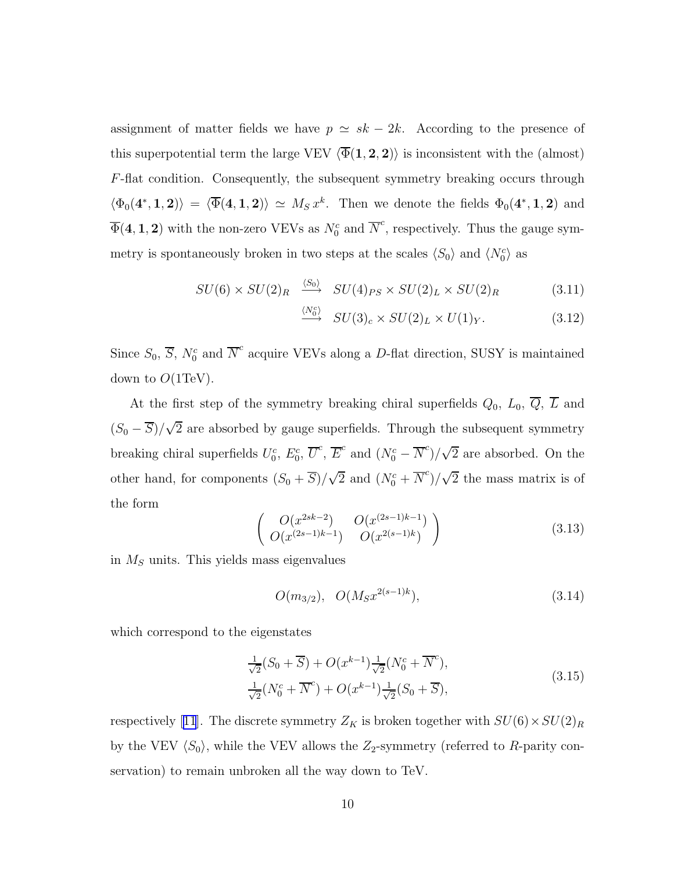assignment of matter fields we have  $p \simeq sk - 2k$ . According to the presence of this superpotential term the large VEV  $\langle \overline{\Phi}(1, 2, 2) \rangle$  is inconsistent with the (almost) F-flat condition. Consequently, the subsequent symmetry breaking occurs through  $\langle \Phi_0(4^*,1,2) \rangle = \langle \overline{\Phi}(4,1,2) \rangle \simeq M_S x^k$ . Then we denote the fields  $\Phi_0(4^*,1,2)$  and  $\overline{\Phi}(4,1,2)$  with the non-zero VEVs as  $N_0^c$  and  $\overline{N}^c$ , respectively. Thus the gauge symmetry is spontaneously broken in two steps at the scales  $\langle S_0 \rangle$  and  $\langle N_0^c \rangle$  as

$$
SU(6) \times SU(2)_R \xrightarrow{\langle S_0 \rangle} SU(4)_{PS} \times SU(2)_L \times SU(2)_R \tag{3.11}
$$

$$
\xrightarrow{\langle N_0^c \rangle} SU(3)_c \times SU(2)_L \times U(1)_Y. \tag{3.12}
$$

Since  $S_0$ ,  $\overline{S}$ ,  $N_0^c$  and  $\overline{N}^c$  acquire VEVs along a D-flat direction, SUSY is maintained down to  $O(1 \text{TeV})$ .

At the first step of the symmetry breaking chiral superfields  $Q_0$ ,  $L_0$ ,  $\overline{Q}$ ,  $\overline{L}$  and  $(S_0 - \overline{S})/\sqrt{2}$  are absorbed by gauge superfields. Through the subsequent symmetry breaking chiral superfields  $U_0^c$ ,  $E_0^c$ ,  $\overline{U}^c$ ,  $\overline{E}^c$  and  $(N_0^c - \overline{N}^c)/\sqrt{2}$  are absorbed. On the other hand, for components  $(S_0 + \overline{S})/\sqrt{2}$  and  $(N_0^c + \overline{N}^c)/\sqrt{2}$  the mass matrix is of the form

$$
\begin{pmatrix}\nO(x^{2sk-2}) & O(x^{(2s-1)k-1}) \\
O(x^{(2s-1)k-1}) & O(x^{2(s-1)k})\n\end{pmatrix}
$$
\n(3.13)

in  $M<sub>S</sub>$  units. This yields mass eigenvalues

$$
O(m_{3/2}), \quad O(M_S x^{2(s-1)k}),
$$
\n(3.14)

which correspond to the eigenstates

$$
\frac{1}{\sqrt{2}}(S_0 + \overline{S}) + O(x^{k-1}) \frac{1}{\sqrt{2}}(N_0^c + \overline{N}^c),
$$
  
\n
$$
\frac{1}{\sqrt{2}}(N_0^c + \overline{N}^c) + O(x^{k-1}) \frac{1}{\sqrt{2}}(S_0 + \overline{S}),
$$
\n(3.15)

respectively[[11](#page-44-0)]. The discrete symmetry  $Z_K$  is broken together with  $SU(6) \times SU(2)_R$ by the VEV  $\langle S_0 \rangle$ , while the VEV allows the Z<sub>2</sub>-symmetry (referred to R-parity conservation) to remain unbroken all the way down to TeV.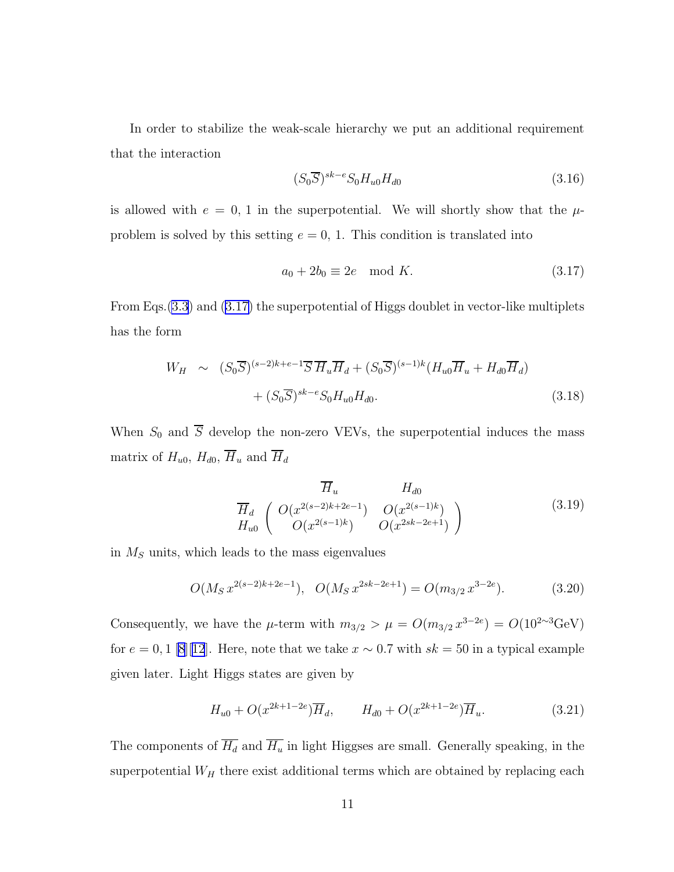In order to stabilize the weak-scale hierarchy we put an additional requirement that the interaction

$$
(S_0 \overline{S})^{sk-e} S_0 H_{u0} H_{d0} \tag{3.16}
$$

is allowed with  $e = 0$ , 1 in the superpotential. We will shortly show that the  $\mu$ problem is solved by this setting  $e = 0$ , 1. This condition is translated into

$$
a_0 + 2b_0 \equiv 2e \mod K. \tag{3.17}
$$

From Eqs.[\(3.3](#page-7-0)) and (3.17) the superpotential of Higgs doublet in vector-like multiplets has the form

$$
W_H \sim (S_0 \overline{S})^{(s-2)k+e-1} \overline{S} \overline{H}_u \overline{H}_d + (S_0 \overline{S})^{(s-1)k} (H_{u0} \overline{H}_u + H_{d0} \overline{H}_d)
$$
  
 
$$
+ (S_0 \overline{S})^{sk-e} S_0 H_{u0} H_{d0}. \tag{3.18}
$$

When  $S_0$  and  $\overline{S}$  develop the non-zero VEVs, the superpotential induces the mass matrix of  $H_{u0}$ ,  $H_{d0}$ ,  $\overline{H}_u$  and  $\overline{H}_d$ 

$$
\overline{H}_u \qquad H_{d0}
$$
\n
$$
\overline{H}_d \qquad \left( \begin{array}{cc} O(x^{2(s-2)k+2e-1}) & O(x^{2(s-1)k}) \\ O(x^{2(s-1)k}) & O(x^{2sk-2e+1}) \end{array} \right)
$$
\n(3.19)

in  $M<sub>S</sub>$  units, which leads to the mass eigenvalues

$$
O(M_S x^{2(s-2)k+2e-1}), \quad O(M_S x^{2sk-2e+1}) = O(m_{3/2} x^{3-2e}). \tag{3.20}
$$

Consequently, we have the  $\mu$ -term with  $m_{3/2} > \mu = O(m_{3/2} x^{3-2e}) = O(10^{2 \sim 3} \text{GeV})$ for  $e = 0, 1$  [\[8](#page-44-0)][[12](#page-44-0)]. Here, note that we take  $x \sim 0.7$  with  $sk = 50$  in a typical example given later. Light Higgs states are given by

$$
H_{u0} + O(x^{2k+1-2e})\overline{H}_d, \qquad H_{d0} + O(x^{2k+1-2e})\overline{H}_u.
$$
 (3.21)

The components of  $\overline{H_d}$  and  $\overline{H_u}$  in light Higgses are small. Generally speaking, in the superpotential  $W_H$  there exist additional terms which are obtained by replacing each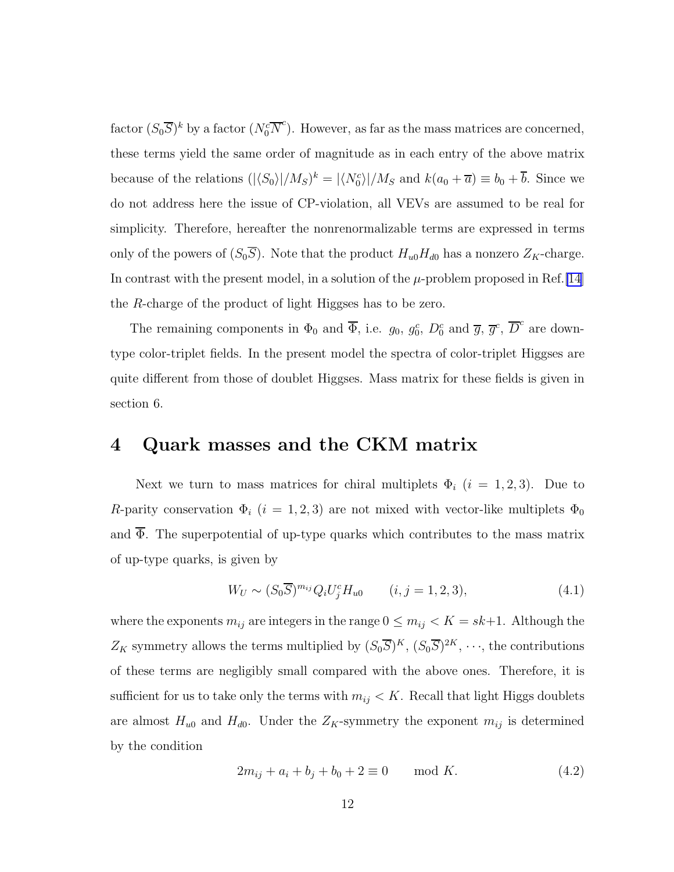<span id="page-11-0"></span>factor  $(S_0 \overline{S})^k$  by a factor  $(N_0^c \overline{N}^c)$ . However, as far as the mass matrices are concerned, these terms yield the same order of magnitude as in each entry of the above matrix because of the relations  $(|\langle S_0 \rangle|/M_S)^k = |\langle N_0^c \rangle|/M_S$  and  $k(a_0 + \overline{a}) \equiv b_0 + \overline{b}$ . Since we do not address here the issue of CP-violation, all VEVs are assumed to be real for simplicity. Therefore, hereafter the nonrenormalizable terms are expressed in terms only of the powers of  $(S_0\overline{S})$ . Note that the product  $H_{u0}H_{d0}$  has a nonzero  $Z_K$ -charge. In contrast with the present model, in a solution of the  $\mu$ -problem proposed in Ref. [\[14](#page-44-0)] the R-charge of the product of light Higgses has to be zero.

The remaining components in  $\Phi_0$  and  $\overline{\Phi}$ , i.e.  $g_0$ ,  $g_0^c$ ,  $D_0^c$  and  $\overline{g}$ ,  $\overline{g}^c$ ,  $\overline{D}^c$  are downtype color-triplet fields. In the present model the spectra of color-triplet Higgses are quite different from those of doublet Higgses. Mass matrix for these fields is given in section 6.

## 4 Quark masses and the CKM matrix

Next we turn to mass matrices for chiral multiplets  $\Phi_i$   $(i = 1, 2, 3)$ . Due to R-parity conservation  $\Phi_i$  (i = 1, 2, 3) are not mixed with vector-like multiplets  $\Phi_0$ and  $\overline{\Phi}$ . The superpotential of up-type quarks which contributes to the mass matrix of up-type quarks, is given by

$$
W_U \sim (S_0 \overline{S})^{m_{ij}} Q_i U_j^c H_{u0} \qquad (i, j = 1, 2, 3), \qquad (4.1)
$$

where the exponents  $m_{ij}$  are integers in the range  $0 \le m_{ij} < K = sk+1$ . Although the  $Z_K$  symmetry allows the terms multiplied by  $(S_0\overline{S})^K$ ,  $(S_0\overline{S})^{2K}$ ,  $\cdots$ , the contributions of these terms are negligibly small compared with the above ones. Therefore, it is sufficient for us to take only the terms with  $m_{ij} < K$ . Recall that light Higgs doublets are almost  $H_{u0}$  and  $H_{d0}$ . Under the  $Z_K$ -symmetry the exponent  $m_{ij}$  is determined by the condition

$$
2m_{ij} + a_i + b_j + b_0 + 2 \equiv 0 \quad \text{mod } K. \tag{4.2}
$$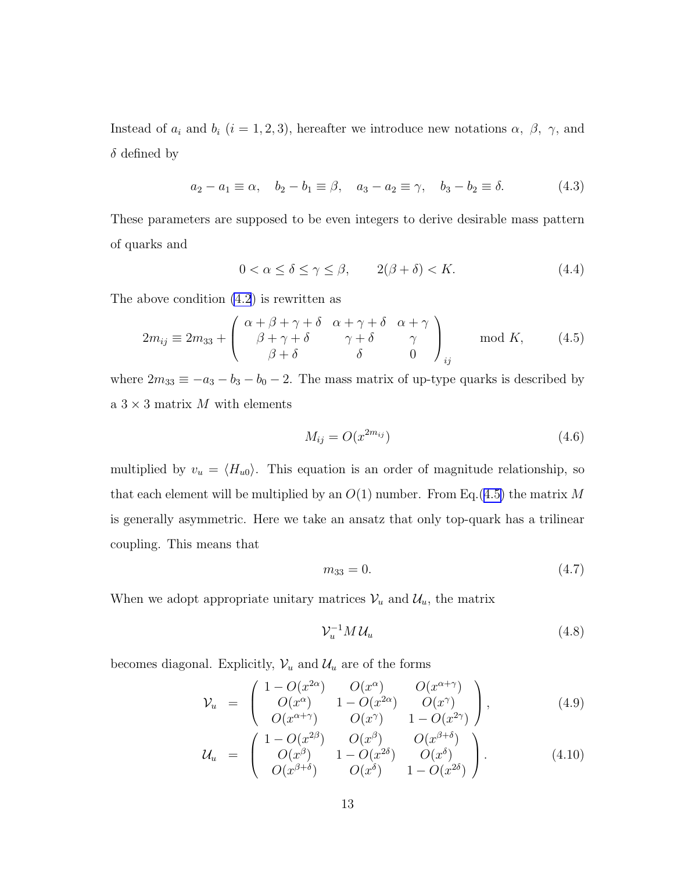Instead of  $a_i$  and  $b_i$  (i = 1, 2, 3), hereafter we introduce new notations  $\alpha$ ,  $\beta$ ,  $\gamma$ , and  $\delta$  defined by

$$
a_2 - a_1 \equiv \alpha, \quad b_2 - b_1 \equiv \beta, \quad a_3 - a_2 \equiv \gamma, \quad b_3 - b_2 \equiv \delta.
$$
 (4.3)

These parameters are supposed to be even integers to derive desirable mass pattern of quarks and

$$
0 < \alpha \le \delta \le \gamma \le \beta, \qquad 2(\beta + \delta) < K. \tag{4.4}
$$

The above condition [\(4.2](#page-11-0)) is rewritten as

$$
2m_{ij} \equiv 2m_{33} + \begin{pmatrix} \alpha + \beta + \gamma + \delta & \alpha + \gamma + \delta & \alpha + \gamma \\ \beta + \gamma + \delta & \gamma + \delta & \gamma \\ \beta + \delta & \delta & 0 \end{pmatrix}_{ij} \mod K, \tag{4.5}
$$

where  $2m_{33} \equiv -a_3 - b_3 - b_0 - 2$ . The mass matrix of up-type quarks is described by a  $3 \times 3$  matrix M with elements

$$
M_{ij} = O(x^{2m_{ij}})
$$
\n
$$
(4.6)
$$

multiplied by  $v_u = \langle H_{u0} \rangle$ . This equation is an order of magnitude relationship, so that each element will be multiplied by an  $O(1)$  number. From Eq.(4.5) the matrix M is generally asymmetric. Here we take an ansatz that only top-quark has a trilinear coupling. This means that

$$
m_{33} = 0.\t\t(4.7)
$$

When we adopt appropriate unitary matrices  $\mathcal{V}_u$  and  $\mathcal{U}_u$ , the matrix

$$
\mathcal{V}_u^{-1} M \mathcal{U}_u \tag{4.8}
$$

becomes diagonal. Explicitly,  $\mathcal{V}_u$  and  $\mathcal{U}_u$  are of the forms

$$
\mathcal{V}_u = \begin{pmatrix} 1 - O(x^{2\alpha}) & O(x^{\alpha}) & O(x^{\alpha+\gamma}) \\ O(x^{\alpha}) & 1 - O(x^{2\alpha}) & O(x^{\gamma}) \\ O(x^{\alpha+\gamma}) & O(x^{\gamma}) & 1 - O(x^{2\gamma}) \end{pmatrix}, \tag{4.9}
$$

$$
\mathcal{U}_{u} = \begin{pmatrix} 1 - O(x^{2\beta}) & O(x^{\beta}) & O(x^{\beta+\delta}) \\ O(x^{\beta}) & 1 - O(x^{2\delta}) & O(x^{\delta}) \\ O(x^{\beta+\delta}) & O(x^{\delta}) & 1 - O(x^{2\delta}) \end{pmatrix}.
$$
 (4.10)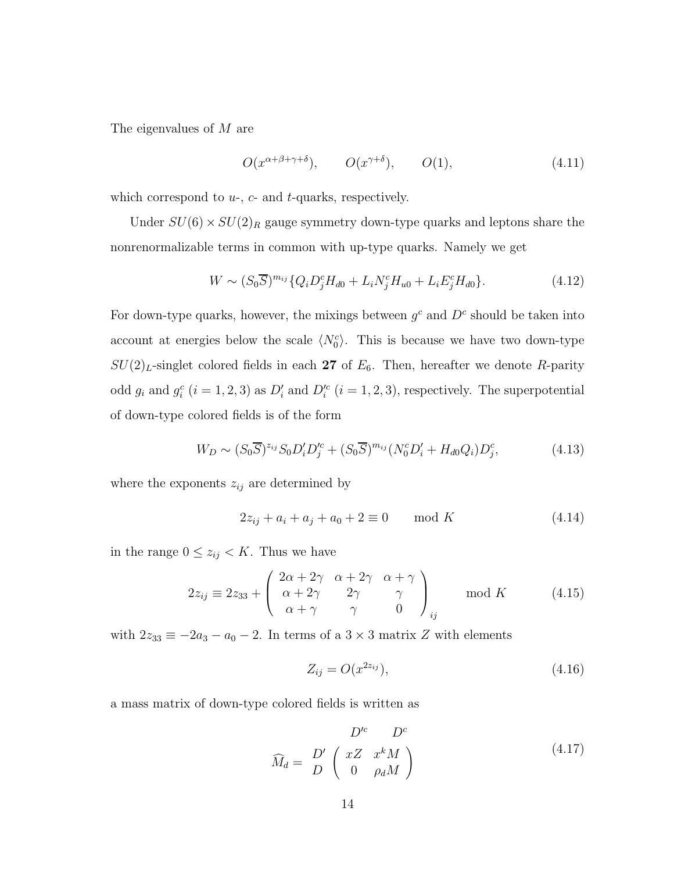<span id="page-13-0"></span>The eigenvalues of M are

$$
O(x^{\alpha+\beta+\gamma+\delta}), \qquad O(x^{\gamma+\delta}), \qquad O(1),
$$
 (4.11)

which correspond to  $u_-, c$ - and  $t$ -quarks, respectively.

Under  $SU(6) \times SU(2)_R$  gauge symmetry down-type quarks and leptons share the nonrenormalizable terms in common with up-type quarks. Namely we get

$$
W \sim (S_0 \overline{S})^{m_{ij}} \{ Q_i D_j^c H_{d0} + L_i N_j^c H_{u0} + L_i E_j^c H_{d0} \}.
$$
 (4.12)

For down-type quarks, however, the mixings between  $g^c$  and  $D^c$  should be taken into account at energies below the scale  $\langle N_0^c \rangle$ . This is because we have two down-type  $SU(2)_L$ -singlet colored fields in each 27 of  $E_6$ . Then, hereafter we denote R-parity odd  $g_i$  and  $g_i^c$   $(i = 1, 2, 3)$  as  $D_i'$  and  $D_i'^c$   $(i = 1, 2, 3)$ , respectively. The superpotential of down-type colored fields is of the form

$$
W_D \sim (S_0 \overline{S})^{z_{ij}} S_0 D_i' D_j'^c + (S_0 \overline{S})^{m_{ij}} (N_0^c D_i' + H_{d0} Q_i) D_j^c, \tag{4.13}
$$

where the exponents  $z_{ij}$  are determined by

$$
2z_{ij} + a_i + a_j + a_0 + 2 \equiv 0 \quad \text{mod } K \tag{4.14}
$$

in the range  $0 \leq z_{ij} < K$ . Thus we have

$$
2z_{ij} \equiv 2z_{33} + \begin{pmatrix} 2\alpha + 2\gamma & \alpha + 2\gamma & \alpha + \gamma \\ \alpha + 2\gamma & 2\gamma & \gamma \\ \alpha + \gamma & \gamma & 0 \end{pmatrix}_{ij} \text{ mod } K \qquad (4.15)
$$

with  $2z_{33} \equiv -2a_3 - a_0 - 2$ . In terms of a  $3 \times 3$  matrix Z with elements

$$
Z_{ij} = O(x^{2z_{ij}}),
$$
\n(4.16)

a mass matrix of down-type colored fields is written as

$$
\widehat{M}_d = \frac{D'}{D} \begin{pmatrix} xZ & x^k M \\ 0 & \rho_d M \end{pmatrix}
$$
\n(4.17)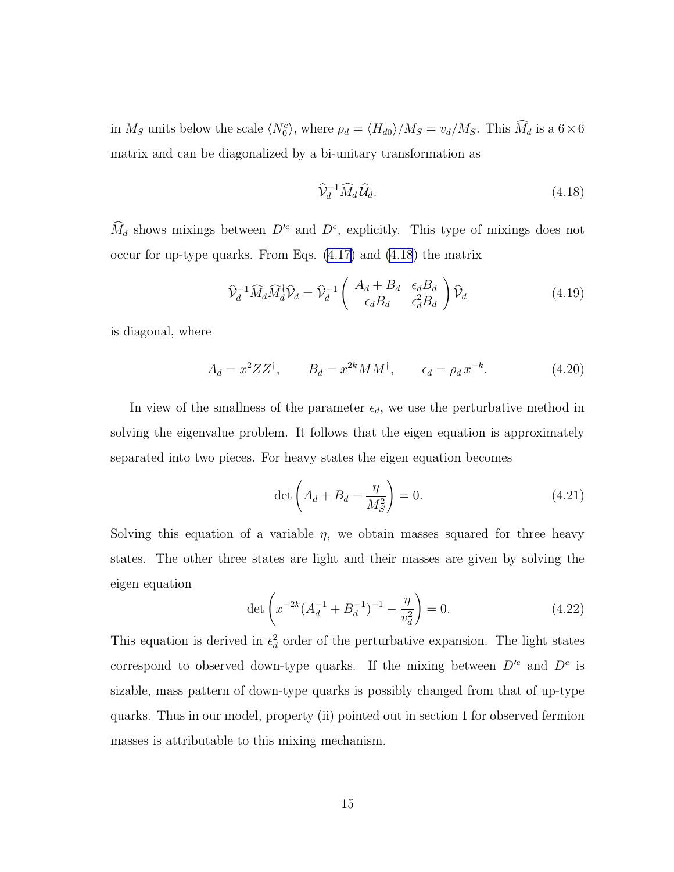in  $M_S$  units below the scale  $\langle N_0^c \rangle$ , where  $\rho_d = \langle H_{d0} \rangle / M_S = v_d / M_S$ . This  $\widehat{M}_d$  is a  $6 \times 6$ matrix and can be diagonalized by a bi-unitary transformation as

$$
\widehat{\mathcal{V}}_d^{-1} \widehat{M}_d \widehat{\mathcal{U}}_d. \tag{4.18}
$$

 $\widehat{M}_d$  shows mixings between  $D^{\prime c}$  and  $D^c$ , explicitly. This type of mixings does not occur for up-type quarks. From Eqs. ([4.17\)](#page-13-0) and (4.18) the matrix

$$
\widehat{\mathcal{V}}_d^{-1} \widehat{M}_d \widehat{M}_d^{\dagger} \widehat{\mathcal{V}}_d = \widehat{\mathcal{V}}_d^{-1} \begin{pmatrix} A_d + B_d & \epsilon_d B_d \\ \epsilon_d B_d & \epsilon_d^2 B_d \end{pmatrix} \widehat{\mathcal{V}}_d \tag{4.19}
$$

is diagonal, where

$$
A_d = x^2 Z Z^{\dagger}, \qquad B_d = x^{2k} M M^{\dagger}, \qquad \epsilon_d = \rho_d x^{-k}. \tag{4.20}
$$

In view of the smallness of the parameter  $\epsilon_d$ , we use the perturbative method in solving the eigenvalue problem. It follows that the eigen equation is approximately separated into two pieces. For heavy states the eigen equation becomes

$$
\det\left(A_d + B_d - \frac{\eta}{M_S^2}\right) = 0.\tag{4.21}
$$

Solving this equation of a variable  $\eta$ , we obtain masses squared for three heavy states. The other three states are light and their masses are given by solving the eigen equation

$$
\det\left(x^{-2k}(A_d^{-1} + B_d^{-1})^{-1} - \frac{\eta}{v_d^2}\right) = 0.
$$
\n(4.22)

This equation is derived in  $\epsilon_d^2$  order of the perturbative expansion. The light states correspond to observed down-type quarks. If the mixing between  $D^{c}$  and  $D^{c}$  is sizable, mass pattern of down-type quarks is possibly changed from that of up-type quarks. Thus in our model, property (ii) pointed out in section 1 for observed fermion masses is attributable to this mixing mechanism.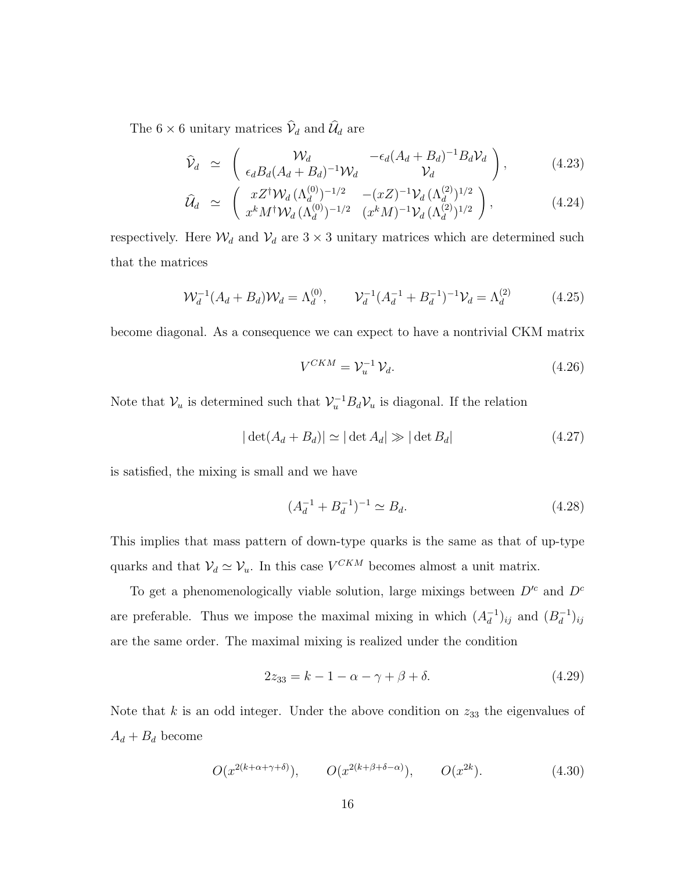<span id="page-15-0"></span>The  $6\times 6$  unitary matrices  $\widehat{\mathcal{V}}_d$  and  $\widehat{\mathcal{U}}_d$  are

$$
\widehat{\mathcal{V}}_d \simeq \begin{pmatrix} \mathcal{W}_d & -\epsilon_d (A_d + B_d)^{-1} B_d \mathcal{V}_d \\ \epsilon_d B_d (A_d + B_d)^{-1} \mathcal{W}_d & \mathcal{V}_d \end{pmatrix}, \qquad (4.23)
$$

$$
\widehat{\mathcal{U}}_d \simeq \begin{pmatrix} xZ^{\dagger} \mathcal{W}_d \, (\Lambda_d^{(0)})^{-1/2} & -(xZ)^{-1} \mathcal{V}_d \, (\Lambda_d^{(2)})^{1/2} \\ x^k M^{\dagger} \mathcal{W}_d \, (\Lambda_d^{(0)})^{-1/2} & (x^k M)^{-1} \mathcal{V}_d \, (\Lambda_d^{(2)})^{1/2} \end{pmatrix},\tag{4.24}
$$

respectively. Here  $\mathcal{W}_d$  and  $\mathcal{V}_d$  are  $3 \times 3$  unitary matrices which are determined such that the matrices

$$
\mathcal{W}_d^{-1}(A_d + B_d)\mathcal{W}_d = \Lambda_d^{(0)}, \qquad \mathcal{V}_d^{-1}(A_d^{-1} + B_d^{-1})^{-1}\mathcal{V}_d = \Lambda_d^{(2)} \tag{4.25}
$$

become diagonal. As a consequence we can expect to have a nontrivial CKM matrix

$$
V^{CKM} = \mathcal{V}_u^{-1} \mathcal{V}_d. \tag{4.26}
$$

Note that  $\mathcal{V}_u$  is determined such that  $\mathcal{V}_u^{-1} B_d \mathcal{V}_u$  is diagonal. If the relation

$$
|\det(A_d + B_d)| \simeq |\det A_d| \gg |\det B_d| \tag{4.27}
$$

is satisfied, the mixing is small and we have

$$
(A_d^{-1} + B_d^{-1})^{-1} \simeq B_d. \tag{4.28}
$$

This implies that mass pattern of down-type quarks is the same as that of up-type quarks and that  $V_d \simeq V_u$ . In this case  $V^{CKM}$  becomes almost a unit matrix.

To get a phenomenologically viable solution, large mixings between  $D^{\prime c}$  and  $D^{c}$ are preferable. Thus we impose the maximal mixing in which  $(A_d^{-1})_{ij}$  and  $(B_d^{-1})_{ij}$ are the same order. The maximal mixing is realized under the condition

$$
2z_{33} = k - 1 - \alpha - \gamma + \beta + \delta. \tag{4.29}
$$

Note that  $k$  is an odd integer. Under the above condition on  $z_{33}$  the eigenvalues of  $A_d + B_d$  become

$$
O(x^{2(k+\alpha+\gamma+\delta)}), \qquad O(x^{2(k+\beta+\delta-\alpha)}), \qquad O(x^{2k}).
$$
 (4.30)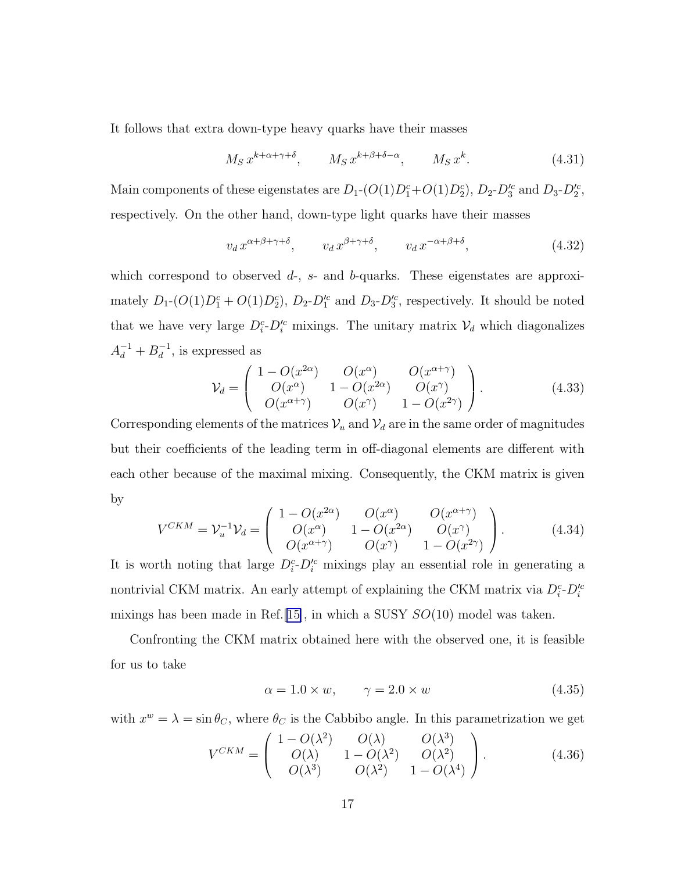<span id="page-16-0"></span>It follows that extra down-type heavy quarks have their masses

$$
M_S x^{k+\alpha+\gamma+\delta}, \qquad M_S x^{k+\beta+\delta-\alpha}, \qquad M_S x^k. \tag{4.31}
$$

Main components of these eigenstates are  $D_1$ - $(O(1)D_1^c+O(1)D_2^c)$ ,  $D_2$ - $D_3^{\prime c}$  and  $D_3$ - $D_2^{\prime c}$ , respectively. On the other hand, down-type light quarks have their masses

$$
v_d \, x^{\alpha + \beta + \gamma + \delta}, \qquad v_d \, x^{\beta + \gamma + \delta}, \qquad v_d \, x^{-\alpha + \beta + \delta}, \tag{4.32}
$$

which correspond to observed  $d$ -,  $s$ - and  $b$ -quarks. These eigenstates are approximately  $D_1$ - $(O(1)D_1^c + O(1)D_2^c)$ ,  $D_2$ - $D_1^{\prime c}$  and  $D_3$ - $D_3^{\prime c}$ , respectively. It should be noted that we have very large  $D_i^c \text{-} D_i^{\prime c}$  mixings. The unitary matrix  $\mathcal{V}_d$  which diagonalizes  $A_d^{-1} + B_d^{-1}$ , is expressed as

$$
\mathcal{V}_d = \begin{pmatrix} 1 - O(x^{2\alpha}) & O(x^{\alpha}) & O(x^{\alpha+\gamma}) \\ O(x^{\alpha}) & 1 - O(x^{2\alpha}) & O(x^{\gamma}) \\ O(x^{\alpha+\gamma}) & O(x^{\gamma}) & 1 - O(x^{2\gamma}) \end{pmatrix}.
$$
 (4.33)

Corresponding elements of the matrices  $\mathcal{V}_u$  and  $\mathcal{V}_d$  are in the same order of magnitudes but their coefficients of the leading term in off-diagonal elements are different with each other because of the maximal mixing. Consequently, the CKM matrix is given by

$$
V^{CKM} = \mathcal{V}_u^{-1} \mathcal{V}_d = \begin{pmatrix} 1 - O(x^{2\alpha}) & O(x^{\alpha}) & O(x^{\alpha + \gamma}) \\ O(x^{\alpha}) & 1 - O(x^{2\alpha}) & O(x^{\gamma}) \\ O(x^{\alpha + \gamma}) & O(x^{\gamma}) & 1 - O(x^{2\gamma}) \end{pmatrix}.
$$
 (4.34)

It is worth noting that large  $D_i^c \text{-} D_i^{\prime c}$  mixings play an essential role in generating a nontrivial CKM matrix. An early attempt of explaining the CKM matrix via  $D_i^c$ - $D_i^{\prime c}$ mixings has been made in Ref. [[15\]](#page-44-0), in which a SUSY  $SO(10)$  model was taken.

Confronting the CKM matrix obtained here with the observed one, it is feasible for us to take

$$
\alpha = 1.0 \times w, \qquad \gamma = 2.0 \times w \tag{4.35}
$$

with  $x^w = \lambda = \sin \theta_C$ , where  $\theta_C$  is the Cabbibo angle. In this parametrization we get

$$
V^{CKM} = \begin{pmatrix} 1 - O(\lambda^2) & O(\lambda) & O(\lambda^3) \\ O(\lambda) & 1 - O(\lambda^2) & O(\lambda^2) \\ O(\lambda^3) & O(\lambda^2) & 1 - O(\lambda^4) \end{pmatrix}.
$$
 (4.36)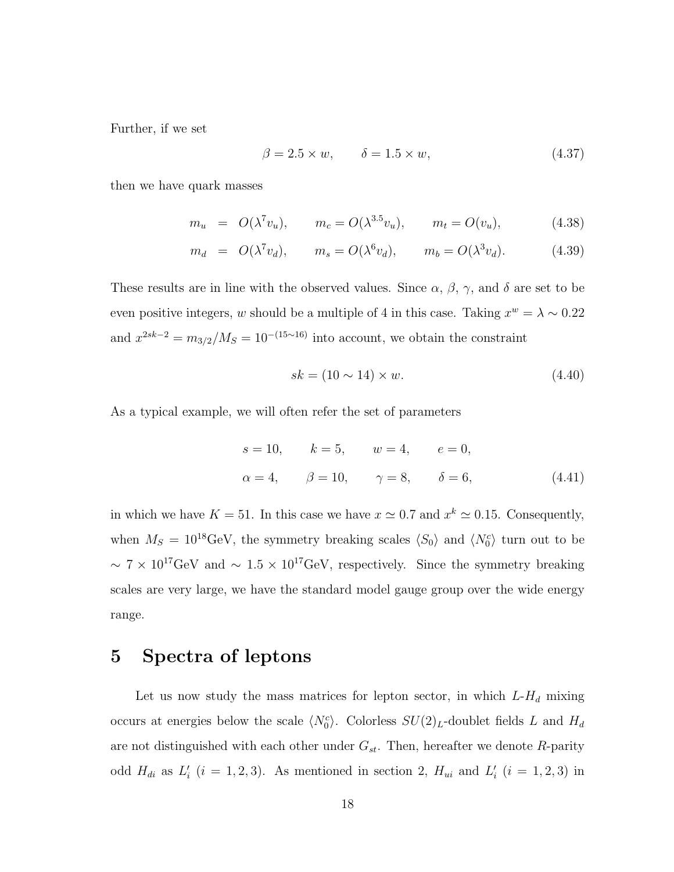<span id="page-17-0"></span>Further, if we set

$$
\beta = 2.5 \times w, \qquad \delta = 1.5 \times w, \tag{4.37}
$$

then we have quark masses

$$
m_u = O(\lambda^7 v_u), \qquad m_c = O(\lambda^{3.5} v_u), \qquad m_t = O(v_u),
$$
 (4.38)

$$
m_d = O(\lambda^7 v_d), \qquad m_s = O(\lambda^6 v_d), \qquad m_b = O(\lambda^3 v_d). \tag{4.39}
$$

These results are in line with the observed values. Since  $\alpha$ ,  $\beta$ ,  $\gamma$ , and  $\delta$  are set to be even positive integers, w should be a multiple of 4 in this case. Taking  $x^w = \lambda \sim 0.22$ and  $x^{2sk-2} = m_{3/2}/M_S = 10^{-(15\sim 16)}$  into account, we obtain the constraint

$$
sk = (10 \sim 14) \times w. \tag{4.40}
$$

As a typical example, we will often refer the set of parameters

$$
s = 10,
$$
  $k = 5,$   $w = 4,$   $e = 0,$   
\n $\alpha = 4,$   $\beta = 10,$   $\gamma = 8,$   $\delta = 6,$  (4.41)

in which we have  $K = 51$ . In this case we have  $x \simeq 0.7$  and  $x^k \simeq 0.15$ . Consequently, when  $M_S = 10^{18} \text{GeV}$ , the symmetry breaking scales  $\langle S_0 \rangle$  and  $\langle N_0^c \rangle$  turn out to be  $\sim 7 \times 10^{17}$ GeV and  $\sim 1.5 \times 10^{17}$ GeV, respectively. Since the symmetry breaking scales are very large, we have the standard model gauge group over the wide energy range.

### 5 Spectra of leptons

Let us now study the mass matrices for lepton sector, in which  $L-H_d$  mixing occurs at energies below the scale  $\langle N_0^c \rangle$ . Colorless  $SU(2)_L$ -doublet fields L and  $H_d$ are not distinguished with each other under  $G_{st}$ . Then, hereafter we denote R-parity odd  $H_{di}$  as  $L'_{i}$   $(i = 1, 2, 3)$ . As mentioned in section 2,  $H_{ui}$  and  $L'_{i}$   $(i = 1, 2, 3)$  in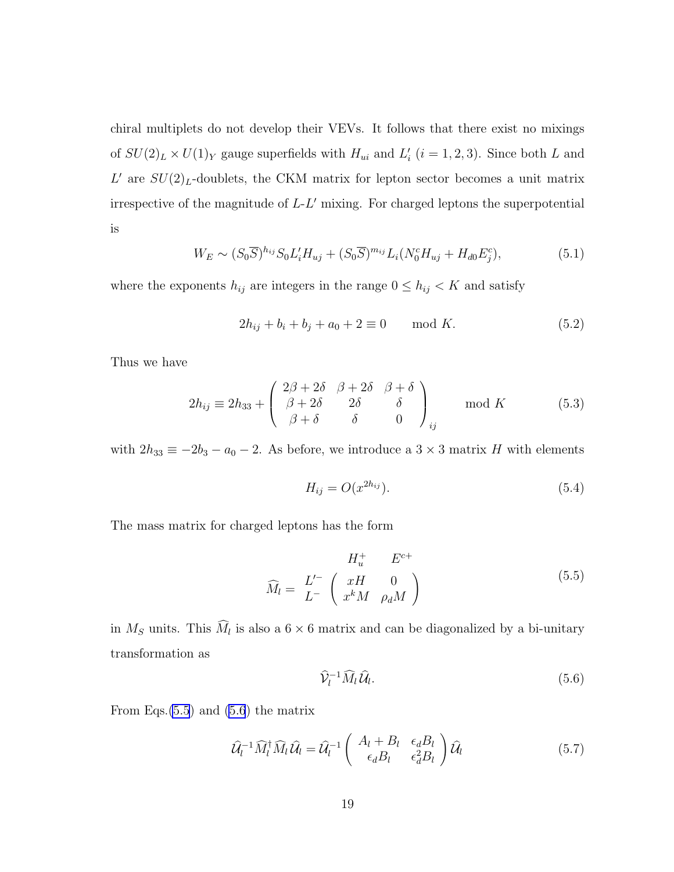<span id="page-18-0"></span>chiral multiplets do not develop their VEVs. It follows that there exist no mixings of  $SU(2)_L \times U(1)_Y$  gauge superfields with  $H_{ui}$  and  $L'_i$   $(i = 1, 2, 3)$ . Since both L and  $L'$  are  $SU(2)_L$ -doublets, the CKM matrix for lepton sector becomes a unit matrix irrespective of the magnitude of L-L ′ mixing. For charged leptons the superpotential is

$$
W_E \sim (S_0 \overline{S})^{h_{ij}} S_0 L'_i H_{uj} + (S_0 \overline{S})^{m_{ij}} L_i (N_0^c H_{uj} + H_{d0} E_j^c), \tag{5.1}
$$

where the exponents  $h_{ij}$  are integers in the range  $0 \leq h_{ij} < K$  and satisfy

$$
2h_{ij} + b_i + b_j + a_0 + 2 \equiv 0 \quad \text{mod } K. \tag{5.2}
$$

Thus we have

$$
2h_{ij} \equiv 2h_{33} + \begin{pmatrix} 2\beta + 2\delta & \beta + 2\delta & \beta + \delta \\ \beta + 2\delta & 2\delta & \delta \\ \beta + \delta & \delta & 0 \end{pmatrix}_{ij} \mod K \tag{5.3}
$$

with  $2h_{33} \equiv -2b_3 - a_0 - 2$ . As before, we introduce a  $3 \times 3$  matrix H with elements

$$
H_{ij} = O(x^{2h_{ij}}). \tag{5.4}
$$

The mass matrix for charged leptons has the form

$$
H_u^+ \t E^{c+}
$$
  

$$
\widehat{M}_l = \begin{bmatrix} L' \\ L^- \end{bmatrix} \begin{pmatrix} xH & 0 \\ x^kM & \rho_d M \end{pmatrix}
$$
 (5.5)

in  $M_S$  units. This  $M_l$  is also a  $6 \times 6$  matrix and can be diagonalized by a bi-unitary transformation as

$$
\widehat{\mathcal{V}}_l^{-1} \widehat{M}_l \widehat{\mathcal{U}}_l. \tag{5.6}
$$

From Eqs. $(5.5)$  and  $(5.6)$  the matrix

$$
\widehat{\mathcal{U}}_l^{-1} \widehat{M}_l^{\dagger} \widehat{M}_l \widehat{\mathcal{U}}_l = \widehat{\mathcal{U}}_l^{-1} \left( \begin{array}{cc} A_l + B_l & \epsilon_d B_l \\ \epsilon_d B_l & \epsilon_d^2 B_l \end{array} \right) \widehat{\mathcal{U}}_l \tag{5.7}
$$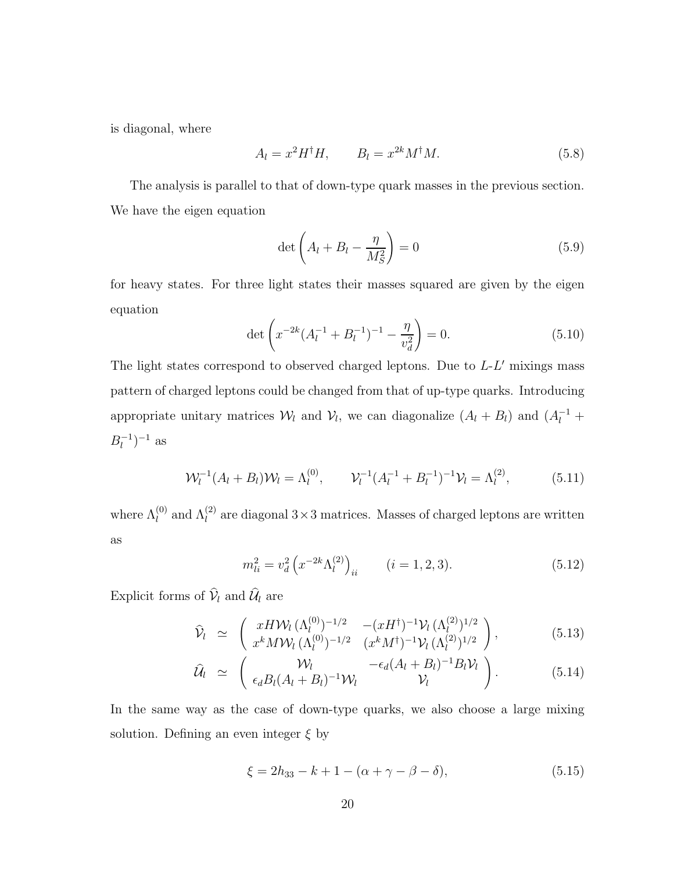<span id="page-19-0"></span>is diagonal, where

$$
A_l = x^2 H^{\dagger} H, \qquad B_l = x^{2k} M^{\dagger} M. \tag{5.8}
$$

The analysis is parallel to that of down-type quark masses in the previous section. We have the eigen equation

$$
\det\left(A_l + B_l - \frac{\eta}{M_S^2}\right) = 0\tag{5.9}
$$

for heavy states. For three light states their masses squared are given by the eigen equation

$$
\det\left(x^{-2k}(A_l^{-1} + B_l^{-1})^{-1} - \frac{\eta}{v_d^2}\right) = 0.
$$
\n(5.10)

The light states correspond to observed charged leptons. Due to  $L$ - $L'$  mixings mass pattern of charged leptons could be changed from that of up-type quarks. Introducing appropriate unitary matrices  $\mathcal{W}_l$  and  $\mathcal{V}_l$ , we can diagonalize  $(A_l + B_l)$  and  $(A_l^{-1} +$  $B_l^{-1}$ )<sup>-1</sup> as

$$
\mathcal{W}_l^{-1}(A_l + B_l)\mathcal{W}_l = \Lambda_l^{(0)}, \qquad \mathcal{V}_l^{-1}(A_l^{-1} + B_l^{-1})^{-1}\mathcal{V}_l = \Lambda_l^{(2)}, \tag{5.11}
$$

where  $\Lambda_l^{(0)}$  and  $\Lambda_l^{(2)}$  are diagonal  $3 \times 3$  matrices. Masses of charged leptons are written as

$$
m_{li}^2 = v_d^2 \left( x^{-2k} \Lambda_l^{(2)} \right)_{ii} \qquad (i = 1, 2, 3). \tag{5.12}
$$

Explicit forms of  $\hat{\mathcal{V}}_l$  and  $\hat{\mathcal{U}}_l$  are

$$
\widehat{\mathcal{V}}_l \simeq \begin{pmatrix} x H \mathcal{W}_l (\Lambda_l^{(0)})^{-1/2} & -(x H^\dagger)^{-1} \mathcal{V}_l (\Lambda_l^{(2)})^{1/2} \\ x^k M \mathcal{W}_l (\Lambda_l^{(0)})^{-1/2} & (x^k M^\dagger)^{-1} \mathcal{V}_l (\Lambda_l^{(2)})^{1/2} \end{pmatrix}, \tag{5.13}
$$

$$
\widehat{\mathcal{U}}_l \simeq \begin{pmatrix} \mathcal{W}_l & -\epsilon_d (A_l + B_l)^{-1} B_l \mathcal{V}_l \\ \epsilon_d B_l (A_l + B_l)^{-1} \mathcal{W}_l & \mathcal{V}_l \end{pmatrix} . \tag{5.14}
$$

In the same way as the case of down-type quarks, we also choose a large mixing solution. Defining an even integer  $\xi$  by

$$
\xi = 2h_{33} - k + 1 - (\alpha + \gamma - \beta - \delta),\tag{5.15}
$$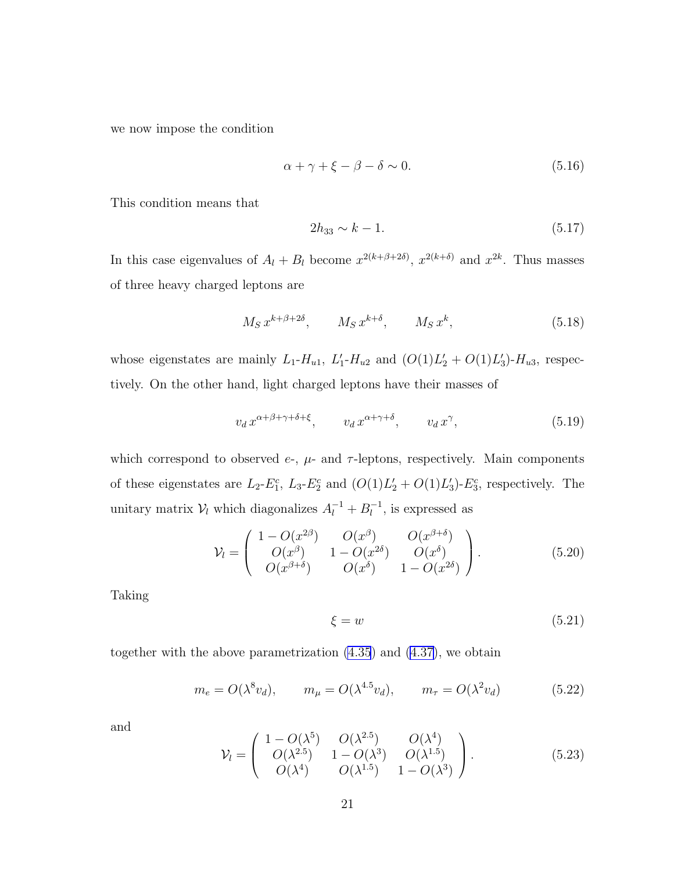<span id="page-20-0"></span>we now impose the condition

$$
\alpha + \gamma + \xi - \beta - \delta \sim 0. \tag{5.16}
$$

This condition means that

$$
2h_{33} \sim k - 1. \tag{5.17}
$$

In this case eigenvalues of  $A_l + B_l$  become  $x^{2(k+\beta+2\delta)}$ ,  $x^{2(k+\delta)}$  and  $x^{2k}$ . Thus masses of three heavy charged leptons are

$$
M_S x^{k+\beta+2\delta}, \qquad M_S x^{k+\delta}, \qquad M_S x^k, \tag{5.18}
$$

whose eigenstates are mainly  $L_1$ - $H_{u1}$ ,  $L'_1$ - $H_{u2}$  and  $(O(1)L'_2 + O(1)L'_3)$ - $H_{u3}$ , respectively. On the other hand, light charged leptons have their masses of

$$
v_d \, x^{\alpha + \beta + \gamma + \delta + \xi}, \qquad v_d \, x^{\alpha + \gamma + \delta}, \qquad v_d \, x^\gamma,\tag{5.19}
$$

which correspond to observed  $e$ -,  $\mu$ - and  $\tau$ -leptons, respectively. Main components of these eigenstates are  $L_2$ - $E_1^c$ ,  $L_3$ - $E_2^c$  and  $(O(1)L'_2 + O(1)L'_3)$ - $E_3^c$ , respectively. The unitary matrix  $V_l$  which diagonalizes  $A_l^{-1} + B_l^{-1}$ , is expressed as

$$
\mathcal{V}_l = \begin{pmatrix} 1 - O(x^{2\beta}) & O(x^{\beta}) & O(x^{\beta+\delta}) \\ O(x^{\beta}) & 1 - O(x^{2\delta}) & O(x^{\delta}) \\ O(x^{\beta+\delta}) & O(x^{\delta}) & 1 - O(x^{2\delta}) \end{pmatrix}.
$$
 (5.20)

Taking

$$
\xi = w \tag{5.21}
$$

together with the above parametrization [\(4.35](#page-16-0)) and ([4.37\)](#page-17-0), we obtain

$$
m_e = O(\lambda^8 v_d), \qquad m_\mu = O(\lambda^{4.5} v_d), \qquad m_\tau = O(\lambda^2 v_d)
$$
 (5.22)

and

$$
\mathcal{V}_l = \begin{pmatrix} 1 - O(\lambda^5) & O(\lambda^{2.5}) & O(\lambda^4) \\ O(\lambda^{2.5}) & 1 - O(\lambda^3) & O(\lambda^{1.5}) \\ O(\lambda^4) & O(\lambda^{1.5}) & 1 - O(\lambda^3) \end{pmatrix}.
$$
 (5.23)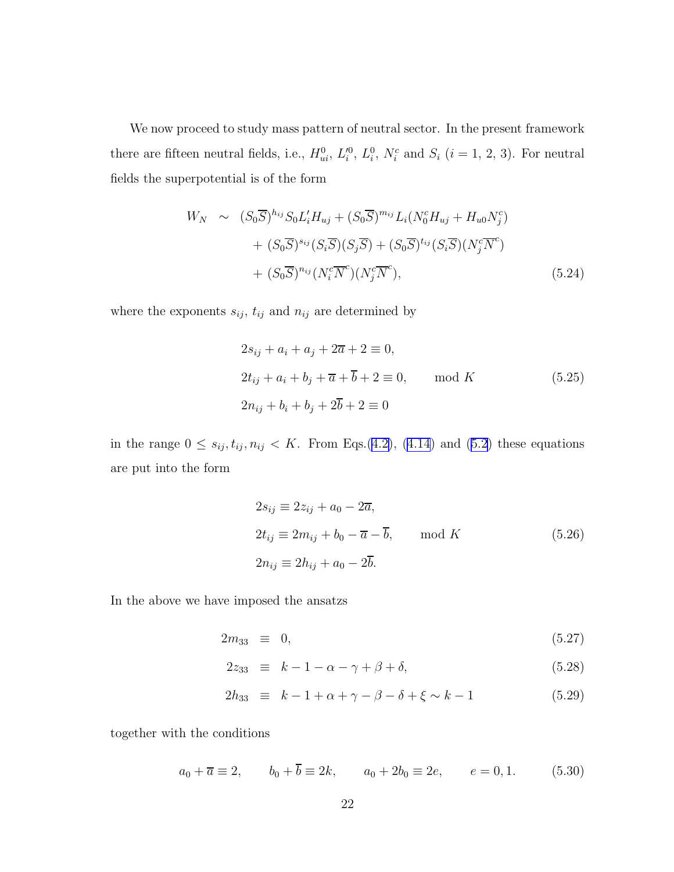We now proceed to study mass pattern of neutral sector. In the present framework there are fifteen neutral fields, i.e.,  $H_{ui}^0$ ,  $L_i^0$ ,  $L_i^0$ ,  $N_i^c$  and  $S_i$   $(i = 1, 2, 3)$ . For neutral fields the superpotential is of the form

$$
W_N \sim (S_0 \overline{S})^{h_{ij}} S_0 L'_i H_{uj} + (S_0 \overline{S})^{m_{ij}} L_i (N_0^c H_{uj} + H_{u0} N_j^c)
$$
  
+ 
$$
(S_0 \overline{S})^{s_{ij}} (S_i \overline{S}) (S_j \overline{S}) + (S_0 \overline{S})^{t_{ij}} (S_i \overline{S}) (N_j^c \overline{N}^c)
$$
  
+ 
$$
(S_0 \overline{S})^{n_{ij}} (N_i^c \overline{N}^c) (N_j^c \overline{N}^c),
$$
 (5.24)

where the exponents  $s_{ij}$ ,  $t_{ij}$  and  $n_{ij}$  are determined by

$$
2s_{ij} + a_i + a_j + 2\overline{a} + 2 \equiv 0,
$$
  
\n
$$
2t_{ij} + a_i + b_j + \overline{a} + \overline{b} + 2 \equiv 0,
$$
 mod  $K$  (5.25)  
\n
$$
2n_{ij} + b_i + b_j + 2\overline{b} + 2 \equiv 0
$$

in the range  $0 \le s_{ij}, t_{ij}, n_{ij} < K$ . From Eqs.([4.2\)](#page-11-0), [\(4.14](#page-13-0)) and [\(5.2](#page-18-0)) these equations are put into the form

$$
2s_{ij} \equiv 2z_{ij} + a_0 - 2\overline{a},
$$
  
\n
$$
2t_{ij} \equiv 2m_{ij} + b_0 - \overline{a} - \overline{b}, \quad \text{mod } K
$$
  
\n
$$
2n_{ij} \equiv 2h_{ij} + a_0 - 2\overline{b}.
$$
  
\n(5.26)

In the above we have imposed the ansatzs

$$
2m_{33} \equiv 0, \tag{5.27}
$$

$$
2z_{33} \equiv k - 1 - \alpha - \gamma + \beta + \delta, \tag{5.28}
$$

$$
2h_{33} \equiv k - 1 + \alpha + \gamma - \beta - \delta + \xi \sim k - 1 \tag{5.29}
$$

together with the conditions

$$
a_0 + \overline{a} \equiv 2
$$
,  $b_0 + \overline{b} \equiv 2k$ ,  $a_0 + 2b_0 \equiv 2e$ ,  $e = 0, 1$ . (5.30)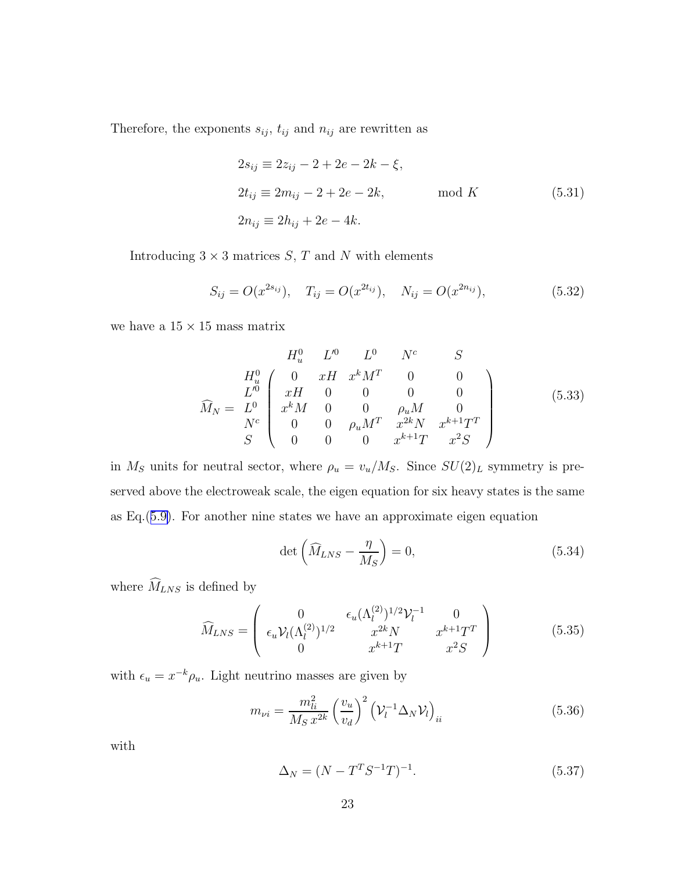<span id="page-22-0"></span>Therefore, the exponents  $s_{ij},\,t_{ij}$  and  $n_{ij}$  are rewritten as

$$
2s_{ij} \equiv 2z_{ij} - 2 + 2e - 2k - \xi,
$$
  
\n
$$
2t_{ij} \equiv 2m_{ij} - 2 + 2e - 2k,
$$
 mod  $K$  (5.31)  
\n
$$
2n_{ij} \equiv 2h_{ij} + 2e - 4k.
$$

Introducing  $3 \times 3$  matrices S, T and N with elements

$$
S_{ij} = O(x^{2s_{ij}}), \quad T_{ij} = O(x^{2t_{ij}}), \quad N_{ij} = O(x^{2n_{ij}}), \tag{5.32}
$$

we have a  $15\times15$  mass matrix

$$
\widehat{M}_{N} = \begin{array}{c c c c c c} & H_{u}^{0} & L^{0} & L^{0} & N^{c} & S \\ H_{u}^{0} & 0 & xH & x^{k}M^{T} & 0 & 0 \\ L^{0} & xH & 0 & 0 & 0 & 0 \\ x^{k}M & 0 & 0 & \rho_{u}M & 0 \\ N^{c} & 0 & 0 & \rho_{u}M^{T} & x^{2k}N & x^{k+1}T^{T} \\ S & 0 & 0 & 0 & x^{k+1}T & x^{2}S \end{array}
$$
\n(5.33)

in  $M_S$  units for neutral sector, where  $\rho_u = v_u/M_S$ . Since  $SU(2)_L$  symmetry is preserved above the electroweak scale, the eigen equation for six heavy states is the same as Eq.([5.9\)](#page-19-0). For another nine states we have an approximate eigen equation

$$
\det\left(\widehat{M}_{LNS} - \frac{\eta}{M_S}\right) = 0,\tag{5.34}
$$

where  $\widehat M_{LNS}$  is defined by

$$
\widehat{M}_{LNS} = \begin{pmatrix}\n0 & \epsilon_u (\Lambda_l^{(2)})^{1/2} \mathcal{V}_l^{-1} & 0 \\
\epsilon_u \mathcal{V}_l (\Lambda_l^{(2)})^{1/2} & x^{2k} N & x^{k+1} T^T \\
0 & x^{k+1} T & x^2 S\n\end{pmatrix} (5.35)
$$

with  $\epsilon_u = x^{-k} \rho_u$ . Light neutrino masses are given by

$$
m_{\nu i} = \frac{m_{li}^2}{M_S x^{2k}} \left(\frac{v_u}{v_d}\right)^2 \left(\mathcal{V}_l^{-1} \Delta_N \mathcal{V}_l\right)_{ii}
$$
(5.36)

with

$$
\Delta_N = (N - T^T S^{-1} T)^{-1}.
$$
\n(5.37)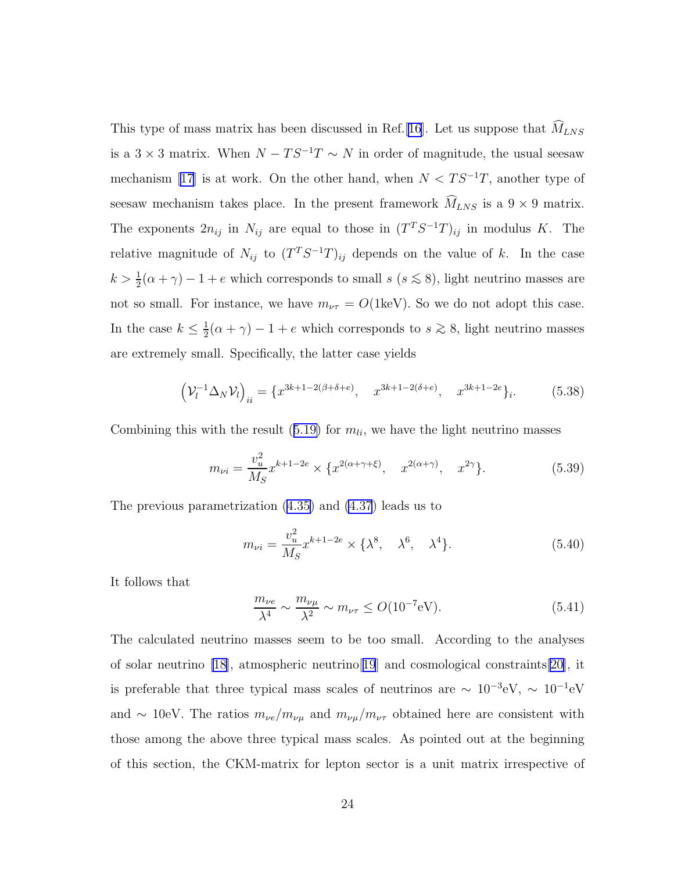This type of mass matrix has been discussed in Ref. [\[16\]](#page-44-0). Let us suppose that  $\widehat{M}_{LNS}$ is a  $3 \times 3$  matrix. When  $N - TS^{-1}T \sim N$  in order of magnitude, the usual seesaw mechanism [\[17\]](#page-45-0) is at work. On the other hand, when  $N < TS^{-1}T$ , another type of seesaw mechanism takes place. In the present framework  $\widehat{M}_{LNS}$  is a  $9 \times 9$  matrix. The exponents  $2n_{ij}$  in  $N_{ij}$  are equal to those in  $(T^T S^{-1} T)_{ij}$  in modulus K. The relative magnitude of  $N_{ij}$  to  $(T^T S^{-1} T)_{ij}$  depends on the value of k. In the case  $k > \frac{1}{2}(\alpha + \gamma) - 1 + e$  which corresponds to small  $s$  ( $s \le 8$ ), light neutrino masses are not so small. For instance, we have  $m_{\nu\tau} = O(1{\rm keV})$ . So we do not adopt this case. In the case  $k \leq \frac{1}{2}$  $\frac{1}{2}(\alpha + \gamma) - 1 + e$  which corresponds to  $s \ge 8$ , light neutrino masses are extremely small. Specifically, the latter case yields

$$
\left(\mathcal{V}_l^{-1}\Delta_N \mathcal{V}_l\right)_{ii} = \{x^{3k+1-2(\beta+\delta+e)}, x^{3k+1-2(\delta+e)}, x^{3k+1-2e}\}_i. \tag{5.38}
$$

Combining this with the result ([5.19\)](#page-20-0) for  $m_{li}$ , we have the light neutrino masses

$$
m_{\nu i} = \frac{v_u^2}{M_S} x^{k+1-2e} \times \{ x^{2(\alpha+\gamma+\xi)}, \quad x^{2(\alpha+\gamma)}, \quad x^{2\gamma} \}.
$$
 (5.39)

The previous parametrization ([4.35\)](#page-16-0) and [\(4.37](#page-17-0)) leads us to

$$
m_{\nu i} = \frac{v_u^2}{M_S} x^{k+1-2e} \times \{\lambda^8, \quad \lambda^6, \quad \lambda^4\}.
$$
 (5.40)

It follows that

$$
\frac{m_{\nu e}}{\lambda^4} \sim \frac{m_{\nu \mu}}{\lambda^2} \sim m_{\nu \tau} \le O(10^{-7} \text{eV}).\tag{5.41}
$$

The calculated neutrino masses seem to be too small. According to the analyses of solar neutrino [\[18\]](#page-45-0), atmospheric neutrino[[19](#page-45-0)] and cosmological constraints[\[20](#page-45-0)], it is preferable that three typical mass scales of neutrinos are  $\sim 10^{-3} \text{eV}$ ,  $\sim 10^{-1} \text{eV}$ and ∼ 10eV. The ratios  $m_{\nu e}/m_{\nu \mu}$  and  $m_{\nu \mu}/m_{\nu \tau}$  obtained here are consistent with those among the above three typical mass scales. As pointed out at the beginning of this section, the CKM-matrix for lepton sector is a unit matrix irrespective of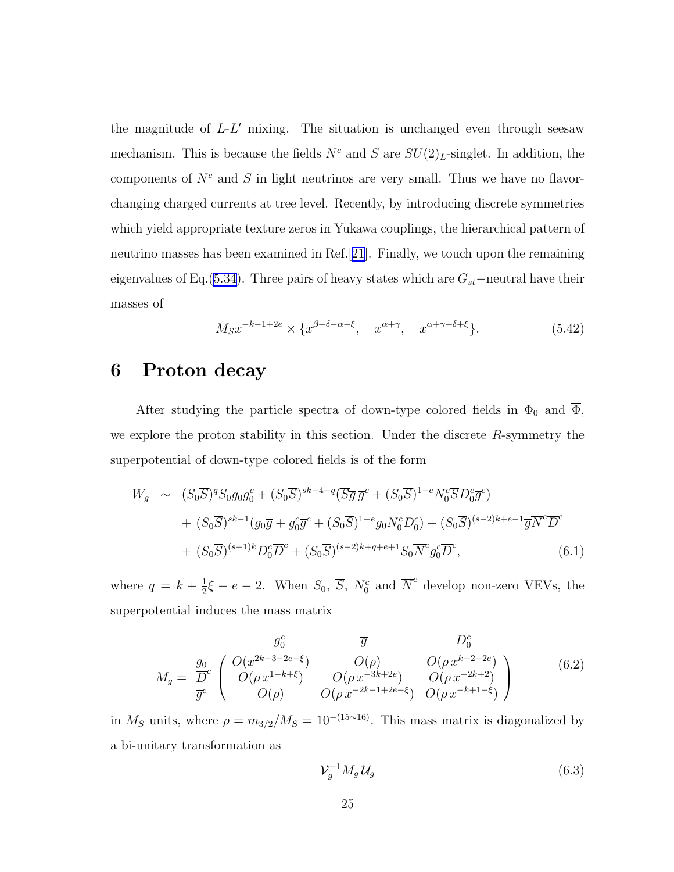the magnitude of L-L ′ mixing. The situation is unchanged even through seesaw mechanism. This is because the fields  $N^c$  and S are  $SU(2)_L$ -singlet. In addition, the components of  $N^c$  and S in light neutrinos are very small. Thus we have no flavorchanging charged currents at tree level. Recently, by introducing discrete symmetries which yield appropriate texture zeros in Yukawa couplings, the hierarchical pattern of neutrino masses has been examined in Ref.[[21](#page-45-0)]. Finally, we touch upon the remaining eigenvalues of Eq.[\(5.34\)](#page-22-0). Three pairs of heavy states which are  $G_{st}$ −neutral have their masses of

$$
M_S x^{-k-1+2e} \times \{x^{\beta+\delta-\alpha-\xi}, \quad x^{\alpha+\gamma}, \quad x^{\alpha+\gamma+\delta+\xi}\}.
$$
 (5.42)

## 6 Proton decay

After studying the particle spectra of down-type colored fields in  $\Phi_0$  and  $\overline{\Phi}$ , we explore the proton stability in this section. Under the discrete  $R$ -symmetry the superpotential of down-type colored fields is of the form

$$
W_g \sim (S_0 \overline{S})^q S_0 g_0 g_0^c + (S_0 \overline{S})^{sk-4-q} (\overline{S} \overline{g} \overline{g}^c + (S_0 \overline{S})^{1-e} N_0^c \overline{S} D_0^c \overline{g}^c) + (S_0 \overline{S})^{sk-1} (g_0 \overline{g} + g_0^c \overline{g}^c + (S_0 \overline{S})^{1-e} g_0 N_0^c D_0^c) + (S_0 \overline{S})^{(s-2)k+e-1} \overline{g} \overline{N}^c \overline{D}^c + (S_0 \overline{S})^{(s-1)k} D_0^c \overline{D}^c + (S_0 \overline{S})^{(s-2)k+q+e+1} S_0 \overline{N}^c g_0^c \overline{D}^c,
$$
(6.1)

where  $q = k + \frac{1}{2}$  $\frac{1}{2}\xi - e - 2$ . When  $S_0$ ,  $\overline{S}$ ,  $N_0^c$  and  $\overline{N}^c$  develop non-zero VEVs, the superpotential induces the mass matrix

$$
M_g = \frac{g_0}{\overline{D}^c} \begin{pmatrix} O(x^{2k-3-2e+\xi}) & \overline{g} & D_0^c \\ O(\rho x^{1-k+\xi}) & O(\rho) & O(\rho x^{k+2-2e}) \\ O(\rho x^{1-k+\xi}) & O(\rho x^{-3k+2e}) & O(\rho x^{-2k+2}) \\ O(\rho) & O(\rho x^{-2k-1+2e-\xi}) & O(\rho x^{-k+1-\xi}) \end{pmatrix}
$$
(6.2)

in  $M_S$  units, where  $\rho = m_{3/2}/M_S = 10^{-(15\sim 16)}$ . This mass matrix is diagonalized by a bi-unitary transformation as

$$
\mathcal{V}_g^{-1} M_g \mathcal{U}_g \tag{6.3}
$$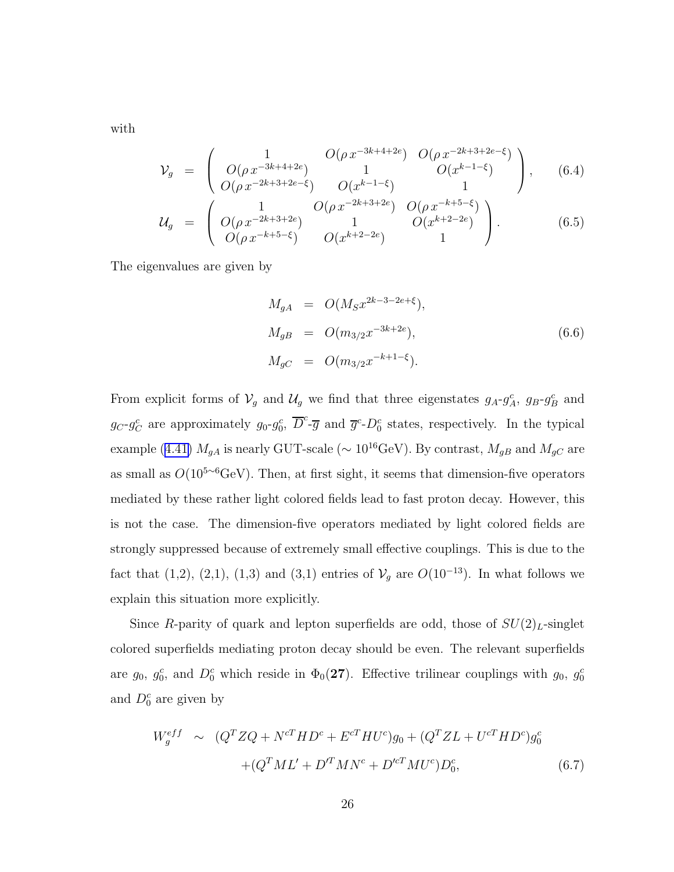with

$$
\mathcal{V}_g = \begin{pmatrix}\n1 & O(\rho x^{-3k+4+2e}) & O(\rho x^{-2k+3+2e-\xi}) \\
O(\rho x^{-3k+4+2e}) & 1 & O(x^{k-1-\xi}) \\
O(\rho x^{-2k+3+2e-\xi}) & O(x^{k-1-\xi}) & 1\n\end{pmatrix},
$$
\n(6.4)  
\n
$$
\mathcal{U}_g = \begin{pmatrix}\n1 & O(\rho x^{-2k+3+2e}) & O(\rho x^{-k+5-\xi}) \\
O(\rho x^{-2k+3+2e}) & 1 & O(x^{k+2-2e}) \\
O(\rho x^{-k+5-\xi}) & O(x^{k+2-2e}) & 1\n\end{pmatrix}.
$$

The eigenvalues are given by

$$
M_{gA} = O(M_S x^{2k-3-2e+\xi}),
$$
  
\n
$$
M_{gB} = O(m_{3/2} x^{-3k+2e}),
$$
  
\n
$$
M_{gC} = O(m_{3/2} x^{-k+1-\xi}).
$$
\n(6.6)

From explicit forms of  $\mathcal{V}_g$  and  $\mathcal{U}_g$  we find that three eigenstates  $g_A \text{-} g_A^c$ ,  $g_B \text{-} g_B^c$  and  $g_C-g_C^c$  are approximately  $g_0-g_0^c$ ,  $\overline{D}^c$ - $\overline{g}$  and  $\overline{g}^c$ - $D_0^c$  states, respectively. In the typical example ([4.41\)](#page-17-0)  $M_{gA}$  is nearly GUT-scale ( $\sim 10^{16} \text{GeV}$ ). By contrast,  $M_{gB}$  and  $M_{gC}$  are as small as  $O(10^{5~6} \text{GeV})$ . Then, at first sight, it seems that dimension-five operators mediated by these rather light colored fields lead to fast proton decay. However, this is not the case. The dimension-five operators mediated by light colored fields are strongly suppressed because of extremely small effective couplings. This is due to the fact that (1,2), (2,1), (1,3) and (3,1) entries of  $V_g$  are  $O(10^{-13})$ . In what follows we explain this situation more explicitly.

Since R-parity of quark and lepton superfields are odd, those of  $SU(2)_L$ -singlet colored superfields mediating proton decay should be even. The relevant superfields are  $g_0$ ,  $g_0^c$ , and  $D_0^c$  which reside in  $\Phi_0(27)$ . Effective trilinear couplings with  $g_0$ ,  $g_0^c$ and  $D_0^c$  are given by

$$
W_g^{eff} \sim (Q^T Z Q + N^{cT} H D^c + E^{cT} H U^c) g_0 + (Q^T Z L + U^{cT} H D^c) g_0^c
$$
  
 
$$
+ (Q^T M L' + D'^T M N^c + D'^{cT} M U^c) D_0^c, \tag{6.7}
$$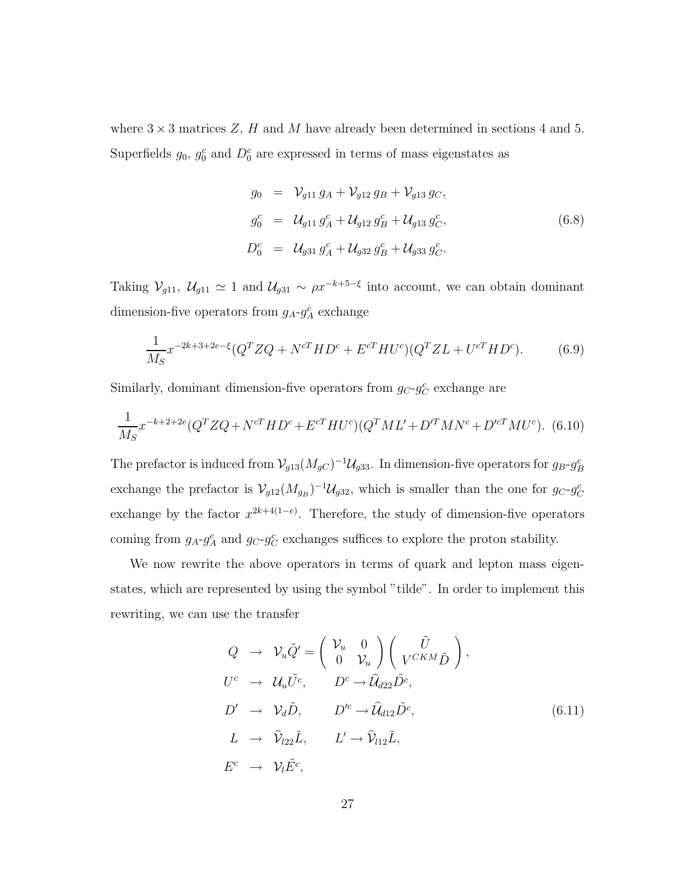<span id="page-26-0"></span>where  $3 \times 3$  matrices Z, H and M have already been determined in sections 4 and 5. Superfields  $g_0$ ,  $g_0^c$  and  $D_0^c$  are expressed in terms of mass eigenstates as

$$
g_0 = V_{g11} g_A + V_{g12} g_B + V_{g13} g_C,
$$
  
\n
$$
g_0^c = U_{g11} g_A^c + U_{g12} g_B^c + U_{g13} g_C^c,
$$
  
\n
$$
D_0^c = U_{g31} g_A^c + U_{g32} g_B^c + U_{g33} g_C^c.
$$
\n(6.8)

Taking  $\mathcal{V}_{g11}$ ,  $\mathcal{U}_{g11} \simeq 1$  and  $\mathcal{U}_{g31} \sim \rho x^{-k+5-\xi}$  into account, we can obtain dominant dimension-five operators from  $g_A - g_A^c$  exchange

$$
\frac{1}{M_S} x^{-2k+3+2e-\xi} (Q^T Z Q + N^{cT} H D^c + E^{cT} H U^c) (Q^T Z L + U^{cT} H D^c).
$$
(6.9)

Similarly, dominant dimension-five operators from  $g_C - g_C^c$  exchange are

$$
\frac{1}{M_S} x^{-k+2+2e} (Q^T Z Q + N^{cT} H D^c + E^{cT} H U^c) (Q^T M L' + D'^T M N^c + D'^{cT} M U^c).
$$
 (6.10)

The prefactor is induced from  $\mathcal{V}_{g13}(M_{gC})^{-1}\mathcal{U}_{g33}$ . In dimension-five operators for  $g_B\text{-}g_B^c$ exchange the prefactor is  $\mathcal{V}_{g12}(M_{g_B})^{-1}\mathcal{U}_{g32}$ , which is smaller than the one for  $g_C-g_C^c$ exchange by the factor  $x^{2k+4(1-e)}$ . Therefore, the study of dimension-five operators coming from  $g_A$ - $g_A^c$  and  $g_C$ - $g_C^c$  exchanges suffices to explore the proton stability.

We now rewrite the above operators in terms of quark and lepton mass eigenstates, which are represented by using the symbol "tilde". In order to implement this rewriting, we can use the transfer

$$
Q \rightarrow \mathcal{V}_u \tilde{Q}' = \begin{pmatrix} \mathcal{V}_u & 0 \\ 0 & \mathcal{V}_u \end{pmatrix} \begin{pmatrix} \tilde{U} \\ V^{CKM} \tilde{D} \end{pmatrix},
$$
  
\n
$$
U^c \rightarrow \mathcal{U}_u \tilde{U}^c, \qquad D^c \rightarrow \hat{\mathcal{U}}_{d22} \tilde{D}^c,
$$
  
\n
$$
D' \rightarrow \mathcal{V}_d \tilde{D}, \qquad D'^c \rightarrow \hat{\mathcal{U}}_{d12} \tilde{D}^c,
$$
  
\n
$$
L \rightarrow \hat{\mathcal{V}}_{l22} \tilde{L}, \qquad L' \rightarrow \hat{\mathcal{V}}_{l12} \tilde{L},
$$
  
\n
$$
E^c \rightarrow \mathcal{V}_l \tilde{E}^c,
$$
  
\n(6.11)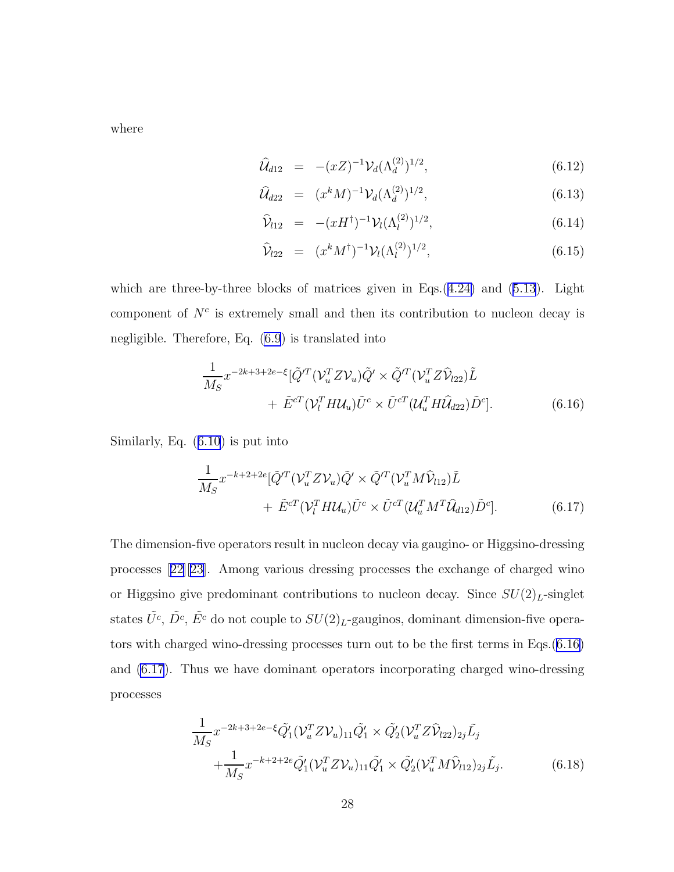<span id="page-27-0"></span>where

$$
\widehat{\mathcal{U}}_{d12} = -(xZ)^{-1} \mathcal{V}_d(\Lambda_d^{(2)})^{1/2}, \tag{6.12}
$$

$$
\widehat{\mathcal{U}}_{d22} = (x^k M)^{-1} \mathcal{V}_d(\Lambda_d^{(2)})^{1/2}, \tag{6.13}
$$

$$
\hat{\mathcal{V}}_{l12} = -(xH^{\dagger})^{-1} \mathcal{V}_l (\Lambda_l^{(2)})^{1/2}, \qquad (6.14)
$$

$$
\widehat{\mathcal{V}}_{l22} = (x^k M^{\dagger})^{-1} \mathcal{V}_l (\Lambda_l^{(2)})^{1/2}, \tag{6.15}
$$

which are three-by-three blocks of matrices given in Eqs.([4.24\)](#page-15-0) and [\(5.13](#page-19-0)). Light component of  $N<sup>c</sup>$  is extremely small and then its contribution to nucleon decay is negligible. Therefore, Eq. [\(6.9](#page-26-0)) is translated into

$$
\frac{1}{M_S} x^{-2k+3+2e-\xi} [\tilde{Q}^{\prime T} (\mathcal{V}_u^T Z \mathcal{V}_u) \tilde{Q}' \times \tilde{Q}^{\prime T} (\mathcal{V}_u^T Z \hat{\mathcal{V}}_{l22}) \tilde{L} \n+ \tilde{E}^{cT} (\mathcal{V}_l^T H \mathcal{U}_u) \tilde{U}^c \times \tilde{U}^{cT} (\mathcal{U}_u^T H \hat{\mathcal{U}}_{d22}) \tilde{D}^c].
$$
\n(6.16)

Similarly, Eq. ([6.10](#page-26-0)) is put into

$$
\frac{1}{M_S} x^{-k+2+2e} [\tilde{Q}^{\prime T} (\mathcal{V}_u^T Z \mathcal{V}_u) \tilde{Q}' \times \tilde{Q}^{\prime T} (\mathcal{V}_u^T M \hat{\mathcal{V}}_{112}) \tilde{L} \n+ \tilde{E}^{\prime T} (\mathcal{V}_l^T H \mathcal{U}_u) \tilde{U}^c \times \tilde{U}^{\prime T} (\mathcal{U}_u^T M^T \hat{\mathcal{U}}_{d12}) \tilde{D}^c].
$$
\n(6.17)

The dimension-five operators result in nucleon decay via gaugino- or Higgsino-dressing processes[[22\]](#page-45-0)[\[23\]](#page-46-0). Among various dressing processes the exchange of charged wino or Higgsino give predominant contributions to nucleon decay. Since  $SU(2)_L$ -singlet states  $\tilde{U}^c$ ,  $\tilde{D}^c$ ,  $\tilde{E}^c$  do not couple to  $SU(2)_L$ -gauginos, dominant dimension-five operators with charged wino-dressing processes turn out to be the first terms in Eqs.(6.16) and (6.17). Thus we have dominant operators incorporating charged wino-dressing processes

$$
\frac{1}{M_S} x^{-2k+3+2e-\xi} \tilde{Q}_1' (\mathcal{V}_u^T Z \mathcal{V}_u)_{11} \tilde{Q}_1' \times \tilde{Q}_2' (\mathcal{V}_u^T Z \hat{\mathcal{V}}_{l22})_{2j} \tilde{L}_j \n+ \frac{1}{M_S} x^{-k+2+2e} \tilde{Q}_1' (\mathcal{V}_u^T Z \mathcal{V}_u)_{11} \tilde{Q}_1' \times \tilde{Q}_2' (\mathcal{V}_u^T M \hat{\mathcal{V}}_{l12})_{2j} \tilde{L}_j.
$$
\n(6.18)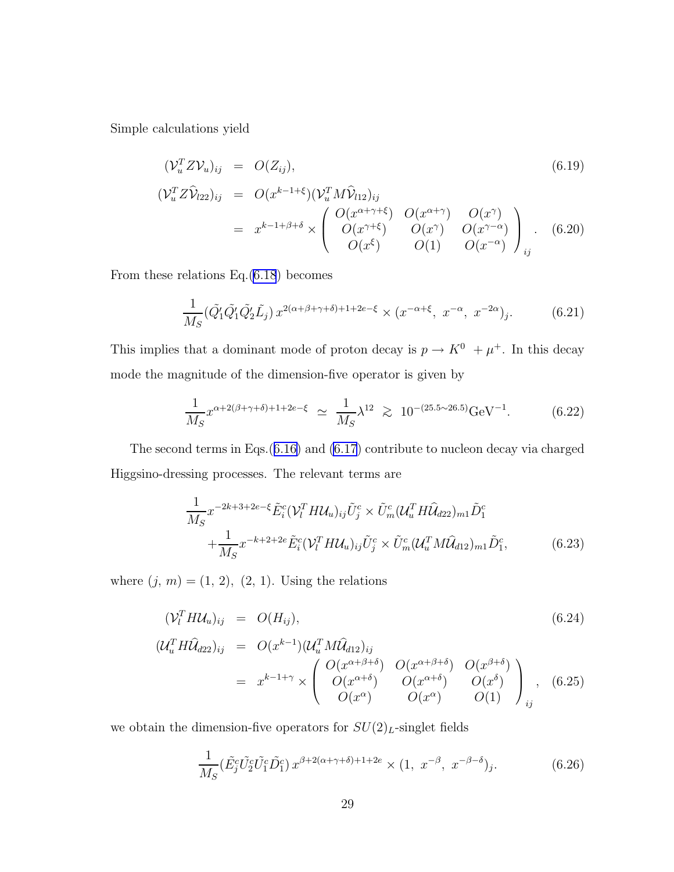Simple calculations yield

$$
(\mathcal{V}_u^T Z \mathcal{V}_u)_{ij} = O(Z_{ij}),
$$
  
\n
$$
(\mathcal{V}_u^T Z \mathcal{V}_{22})_{ij} = O(x^{k-1+\xi}) (\mathcal{V}_u^T M \mathcal{V}_{12})_{ij}
$$
  
\n
$$
= x^{k-1+\beta+\delta} \times \begin{pmatrix} O(x^{\alpha+\gamma+\xi}) & O(x^{\alpha+\gamma}) & O(x^{\gamma}) \\ O(x^{\gamma+\xi}) & O(x^{\gamma}) & O(x^{\gamma-\alpha}) \\ O(x^{\xi}) & O(1) & O(x^{-\alpha}) \end{pmatrix}_{ij}.
$$
 (6.20)

From these relations Eq.[\(6.18](#page-27-0)) becomes

$$
\frac{1}{M_S} (\tilde{Q}_1' \tilde{Q}_1' \tilde{Q}_2' \tilde{L}_j) x^{2(\alpha+\beta+\gamma+\delta)+1+2e-\xi} \times (x^{-\alpha+\xi}, x^{-\alpha}, x^{-2\alpha})_j.
$$
(6.21)

This implies that a dominant mode of proton decay is  $p \to K^0 + \mu^+$ . In this decay mode the magnitude of the dimension-five operator is given by

$$
\frac{1}{M_S} x^{\alpha + 2(\beta + \gamma + \delta) + 1 + 2e - \xi} \simeq \frac{1}{M_S} \lambda^{12} \gtrsim 10^{-(25.5 \sim 26.5)} \text{GeV}^{-1}.
$$
 (6.22)

The second terms in Eqs.([6.16\)](#page-27-0) and [\(6.17](#page-27-0)) contribute to nucleon decay via charged Higgsino-dressing processes. The relevant terms are

$$
\frac{1}{M_S} x^{-2k+3+2e-\xi} \tilde{E}_i^c (\mathcal{V}_l^T H \mathcal{U}_u)_{ij} \tilde{U}_j^c \times \tilde{U}_m^c (\mathcal{U}_u^T H \hat{\mathcal{U}}_{d22})_{m1} \tilde{D}_1^c
$$
\n
$$
+\frac{1}{M_S} x^{-k+2+2e} \tilde{E}_i^c (\mathcal{V}_l^T H \mathcal{U}_u)_{ij} \tilde{U}_j^c \times \tilde{U}_m^c (\mathcal{U}_u^T M \hat{\mathcal{U}}_{d12})_{m1} \tilde{D}_1^c, \tag{6.23}
$$

where  $(j, m) = (1, 2), (2, 1)$ . Using the relations

$$
(\mathcal{V}_l^T H \mathcal{U}_u)_{ij} = O(H_{ij}), \qquad (6.24)
$$

$$
\begin{aligned}\n(\mathcal{U}_u^T H \widehat{\mathcal{U}}_{d22})_{ij} &= O(x^{k-1}) (\mathcal{U}_u^T M \widehat{\mathcal{U}}_{d12})_{ij} \\
&= x^{k-1+\gamma} \times \begin{pmatrix} O(x^{\alpha+\beta+\delta}) & O(x^{\alpha+\beta+\delta}) & O(x^{\beta+\delta}) \\ O(x^{\alpha+\delta}) & O(x^{\alpha+\delta}) & O(x^{\delta}) \\ O(x^{\alpha}) & O(x^{\alpha}) & O(1) \end{pmatrix}_{ij},\n\end{aligned} \tag{6.25}
$$

we obtain the dimension-five operators for  $SU(2)_L$ -singlet fields

$$
\frac{1}{M_S} \left( \tilde{E}_j^c \tilde{U}_2^c \tilde{U}_1^c \tilde{D}_1^c \right) x^{\beta + 2(\alpha + \gamma + \delta) + 1 + 2e} \times (1, x^{-\beta}, x^{-\beta - \delta})_j. \tag{6.26}
$$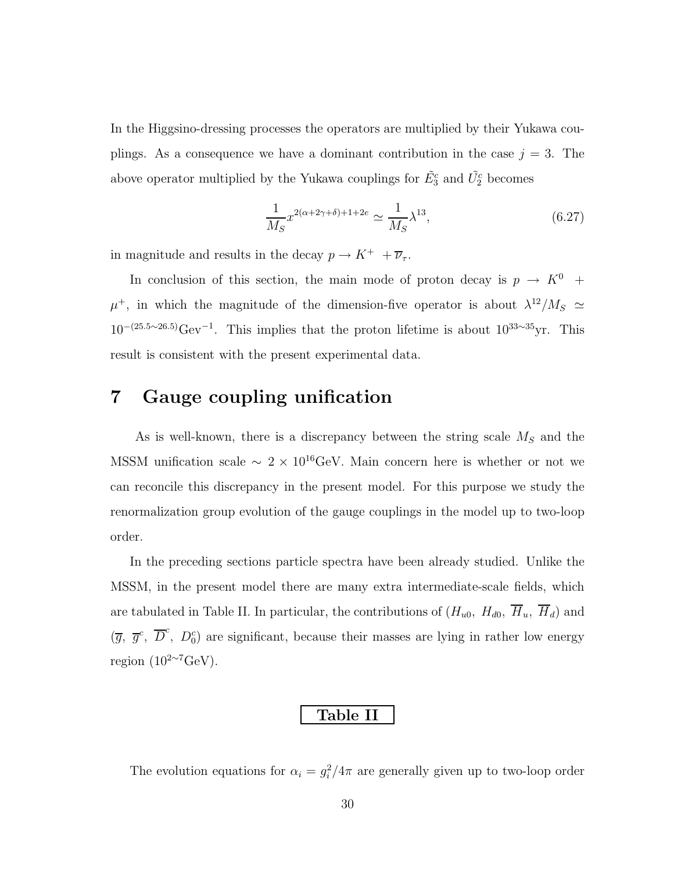In the Higgsino-dressing processes the operators are multiplied by their Yukawa couplings. As a consequence we have a dominant contribution in the case  $j = 3$ . The above operator multiplied by the Yukawa couplings for  $\tilde{E}_3^c$  and  $\tilde{U}_2^c$  becomes

$$
\frac{1}{M_S} x^{2(\alpha+2\gamma+\delta)+1+2e} \simeq \frac{1}{M_S} \lambda^{13},\tag{6.27}
$$

in magnitude and results in the decay  $p \rightarrow K^+ \; + \overline{\nu}_\tau.$ 

In conclusion of this section, the main mode of proton decay is  $p \rightarrow K^0$  +  $\mu^+$ , in which the magnitude of the dimension-five operator is about  $\lambda^{12}/M_S \simeq$  $10^{-(25.5\sim26.5)}$ Gev<sup>-1</sup>. This implies that the proton lifetime is about  $10^{33\sim35}$ yr. This result is consistent with the present experimental data.

## 7 Gauge coupling unification

As is well-known, there is a discrepancy between the string scale  $M<sub>S</sub>$  and the MSSM unification scale  $\sim 2 \times 10^{16} \text{GeV}$ . Main concern here is whether or not we can reconcile this discrepancy in the present model. For this purpose we study the renormalization group evolution of the gauge couplings in the model up to two-loop order.

In the preceding sections particle spectra have been already studied. Unlike the MSSM, in the present model there are many extra intermediate-scale fields, which are tabulated in Table II. In particular, the contributions of  $(H_{u0}, H_{d0}, \overline{H}_u, \overline{H}_d)$  and  $(\overline{g}, \overline{g}^c, \overline{D}^c, D_0^c)$  are significant, because their masses are lying in rather low energy region  $(10^{2\sim7} \text{GeV})$ .

#### Table II

The evolution equations for  $\alpha_i = g_i^2/4\pi$  are generally given up to two-loop order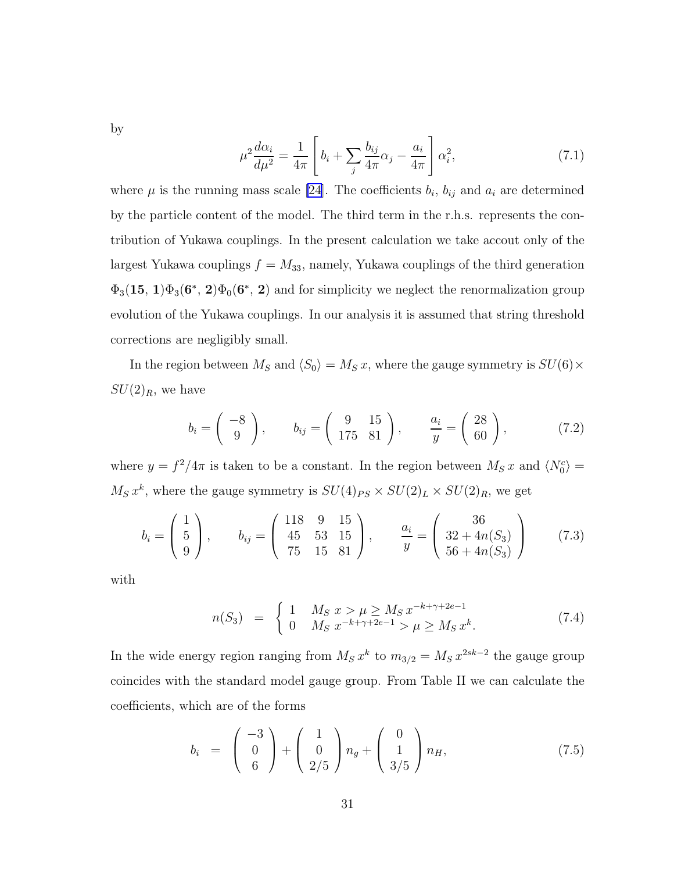by

$$
\mu^2 \frac{d\alpha_i}{d\mu^2} = \frac{1}{4\pi} \left[ b_i + \sum_j \frac{b_{ij}}{4\pi} \alpha_j - \frac{a_i}{4\pi} \right] \alpha_i^2,
$$
\n(7.1)

where  $\mu$  is the running mass scale [\[24\]](#page-46-0). The coefficients  $b_i$ ,  $b_{ij}$  and  $a_i$  are determined by the particle content of the model. The third term in the r.h.s. represents the contribution of Yukawa couplings. In the present calculation we take accout only of the largest Yukawa couplings  $f = M_{33}$ , namely, Yukawa couplings of the third generation  $\Phi_3(15, 1)\Phi_3(6^*, 2)\Phi_0(6^*, 2)$  and for simplicity we neglect the renormalization group evolution of the Yukawa couplings. In our analysis it is assumed that string threshold corrections are negligibly small.

In the region between  $M_S$  and  $\langle S_0 \rangle = M_S x$ , where the gauge symmetry is  $SU(6) \times$  $SU(2)_R$ , we have

$$
b_i = \begin{pmatrix} -8 \\ 9 \end{pmatrix}, \qquad b_{ij} = \begin{pmatrix} 9 & 15 \\ 175 & 81 \end{pmatrix}, \qquad \frac{a_i}{y} = \begin{pmatrix} 28 \\ 60 \end{pmatrix}, \tag{7.2}
$$

where  $y = f^2/4\pi$  is taken to be a constant. In the region between  $M_S x$  and  $\langle N_0^c \rangle =$  $M_S x^k$ , where the gauge symmetry is  $SU(4)_{PS} \times SU(2)_L \times SU(2)_R$ , we get

$$
b_i = \begin{pmatrix} 1 \\ 5 \\ 9 \end{pmatrix}, \qquad b_{ij} = \begin{pmatrix} 118 & 9 & 15 \\ 45 & 53 & 15 \\ 75 & 15 & 81 \end{pmatrix}, \qquad \frac{a_i}{y} = \begin{pmatrix} 36 \\ 32 + 4n(S_3) \\ 56 + 4n(S_3) \end{pmatrix}
$$
(7.3)

with

$$
n(S_3) = \begin{cases} 1 & M_S \ x > \mu \ge M_S \ x^{-k+\gamma+2e-1} \\ 0 & M_S \ x^{-k+\gamma+2e-1} > \mu \ge M_S \ x^k. \end{cases} \tag{7.4}
$$

In the wide energy region ranging from  $M_S x^k$  to  $m_{3/2} = M_S x^{2sk-2}$  the gauge group coincides with the standard model gauge group. From Table II we can calculate the coefficients, which are of the forms

$$
b_i = \begin{pmatrix} -3 \\ 0 \\ 6 \end{pmatrix} + \begin{pmatrix} 1 \\ 0 \\ 2/5 \end{pmatrix} n_g + \begin{pmatrix} 0 \\ 1 \\ 3/5 \end{pmatrix} n_H, \tag{7.5}
$$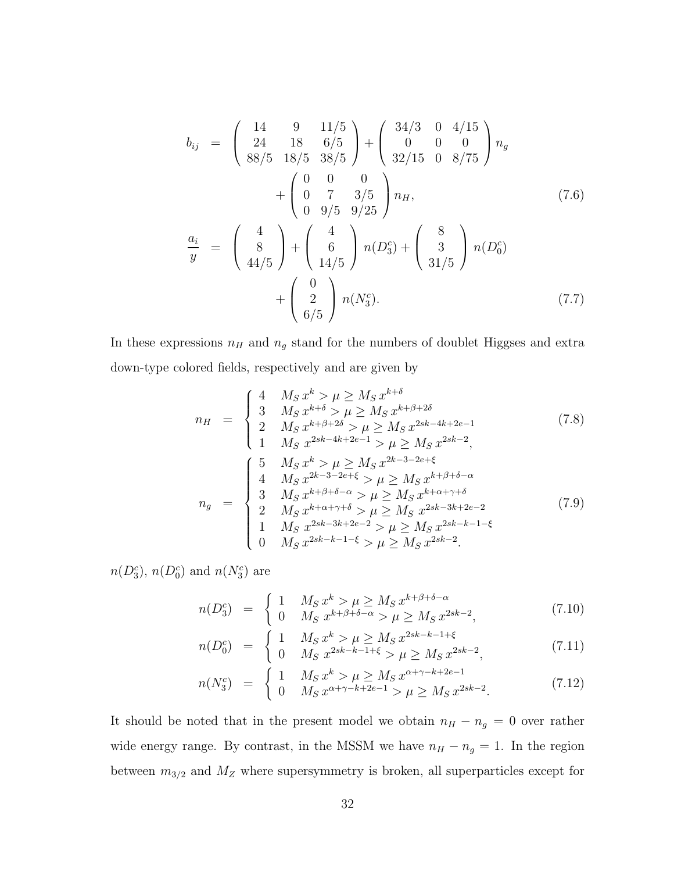$$
b_{ij} = \begin{pmatrix} 14 & 9 & 11/5 \\ 24 & 18 & 6/5 \\ 88/5 & 18/5 & 38/5 \end{pmatrix} + \begin{pmatrix} 34/3 & 0 & 4/15 \\ 0 & 0 & 0 \\ 32/15 & 0 & 8/75 \end{pmatrix} n_g
$$
  
+ 
$$
\begin{pmatrix} 0 & 0 & 0 \\ 0 & 7 & 3/5 \\ 0 & 9/5 & 9/25 \end{pmatrix} n_H,
$$
(7.6)  

$$
\frac{a_i}{y} = \begin{pmatrix} 4 \\ 8 \\ 44/5 \end{pmatrix} + \begin{pmatrix} 4 \\ 6 \\ 14/5 \end{pmatrix} n(D_3^c) + \begin{pmatrix} 8 \\ 3 \\ 31/5 \end{pmatrix} n(D_0^c)
$$
  
+ 
$$
\begin{pmatrix} 0 \\ 2 \\ 6/5 \end{pmatrix} n(N_3^c).
$$
(7.7)

In these expressions  $n_H$  and  $n_g$  stand for the numbers of doublet Higgses and extra down-type colored fields, respectively and are given by

$$
n_{H} = \begin{cases} 4 & M_{S} x^{k} > \mu \ge M_{S} x^{k+\delta} \\ 3 & M_{S} x^{k+\delta} > \mu \ge M_{S} x^{k+\beta+2\delta} \\ 2 & M_{S} x^{k+\beta+2\delta} > \mu \ge M_{S} x^{2sk-4k+2e-1} \\ 1 & M_{S} x^{2sk-4k+2e-1} > \mu \ge M_{S} x^{2sk-2}, \end{cases}
$$
(7.8)  

$$
n_{g} = \begin{cases} 5 & M_{S} x^{k} > \mu \ge M_{S} x^{2k-3-2e+\xi} \\ 4 & M_{S} x^{2k-3-2e+\xi} > \mu \ge M_{S} x^{k+\beta+\delta-\alpha} \\ 3 & M_{S} x^{k+\beta+\delta-\alpha} > \mu \ge M_{S} x^{k+\alpha+\gamma+\delta} \\ 2 & M_{S} x^{k+\alpha+\gamma+\delta} > \mu \ge M_{S} x^{2sk-3k+2e-2} \\ 1 & M_{S} x^{2sk-3k+2e-2} > \mu \ge M_{S} x^{2sk-k-1-\xi} \\ 0 & M_{S} x^{2sk-k-1-\xi} > \mu \ge M_{S} x^{2sk-2}. \end{cases}
$$
(7.9)

 $n(D_3^c)$ ,  $n(D_0^c)$  and  $n(N_3^c)$  are

$$
n(D_3^c) = \begin{cases} 1 & M_S x^k > \mu \ge M_S x^{k+\beta+\delta-\alpha} \\ 0 & M_S x^{k+\beta+\delta-\alpha} > \mu \ge M_S x^{2sk-2}, \end{cases}
$$
(7.10)

$$
n(D_0^c) = \begin{cases} 1 & M_S x^k > \mu \ge M_S x^{2sk - k - 1 + \xi} \\ 0 & M_S x^{2sk - k - 1 + \xi} > \mu \ge M_S x^{2sk - 2}, \end{cases}
$$
(7.11)

$$
n(N_3^c) = \begin{cases} 1 & M_S x^k > \mu \ge M_S x^{\alpha + \gamma - k + 2e - 1} \\ 0 & M_S x^{\alpha + \gamma - k + 2e - 1} > \mu \ge M_S x^{2sk - 2} . \end{cases}
$$
(7.12)

It should be noted that in the present model we obtain  $n_H - n_g = 0$  over rather wide energy range. By contrast, in the MSSM we have  $n_H - n_g = 1$ . In the region between  $m_{3/2}$  and  $M_Z$  where supersymmetry is broken, all superparticles except for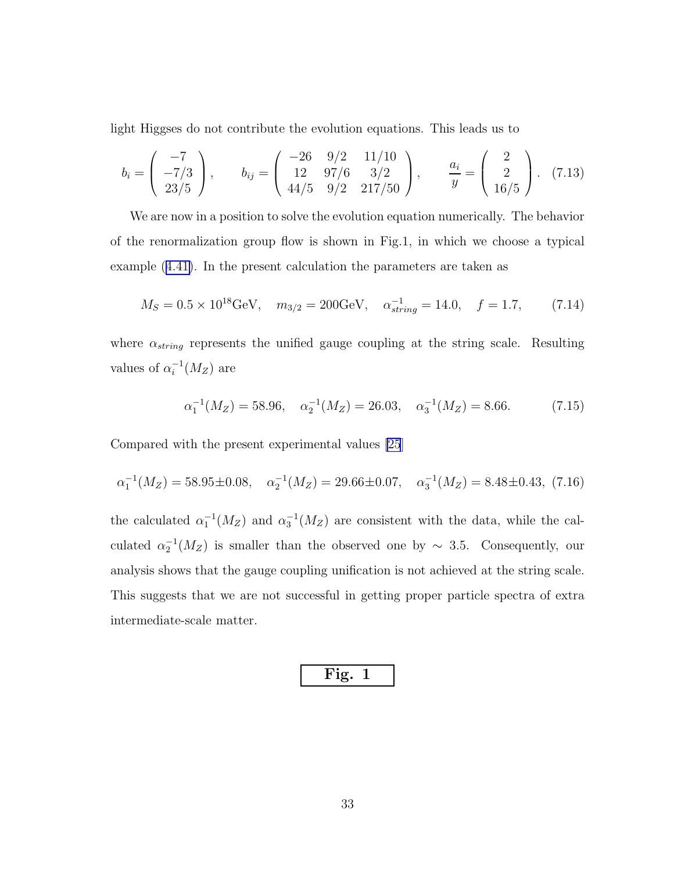light Higgses do not contribute the evolution equations. This leads us to

$$
b_i = \begin{pmatrix} -7 \\ -7/3 \\ 23/5 \end{pmatrix}, \qquad b_{ij} = \begin{pmatrix} -26 & 9/2 & 11/10 \\ 12 & 97/6 & 3/2 \\ 44/5 & 9/2 & 217/50 \end{pmatrix}, \qquad \frac{a_i}{y} = \begin{pmatrix} 2 \\ 2 \\ 16/5 \end{pmatrix}. \tag{7.13}
$$

We are now in a position to solve the evolution equation numerically. The behavior of the renormalization group flow is shown in Fig.1, in which we choose a typical example ([4.41\)](#page-17-0). In the present calculation the parameters are taken as

$$
M_S = 0.5 \times 10^{18} \text{GeV}, \quad m_{3/2} = 200 \text{GeV}, \quad \alpha_{string}^{-1} = 14.0, \quad f = 1.7,
$$
 (7.14)

where  $\alpha_{string}$  represents the unified gauge coupling at the string scale. Resulting values of  $\alpha_i^{-1}(M_Z)$  are

$$
\alpha_1^{-1}(M_Z) = 58.96, \quad \alpha_2^{-1}(M_Z) = 26.03, \quad \alpha_3^{-1}(M_Z) = 8.66. \tag{7.15}
$$

Compared with the present experimental values [\[25](#page-46-0)]

$$
\alpha_1^{-1}(M_Z) = 58.95 \pm 0.08, \quad \alpha_2^{-1}(M_Z) = 29.66 \pm 0.07, \quad \alpha_3^{-1}(M_Z) = 8.48 \pm 0.43, \tag{7.16}
$$

the calculated  $\alpha_1^{-1}(M_Z)$  and  $\alpha_3^{-1}(M_Z)$  are consistent with the data, while the calculated  $\alpha_2^{-1}(M_Z)$  is smaller than the observed one by ~ 3.5. Consequently, our analysis shows that the gauge coupling unification is not achieved at the string scale. This suggests that we are not successful in getting proper particle spectra of extra intermediate-scale matter.

$$
\vphantom{\Bigg(}\text{Fig. 1}
$$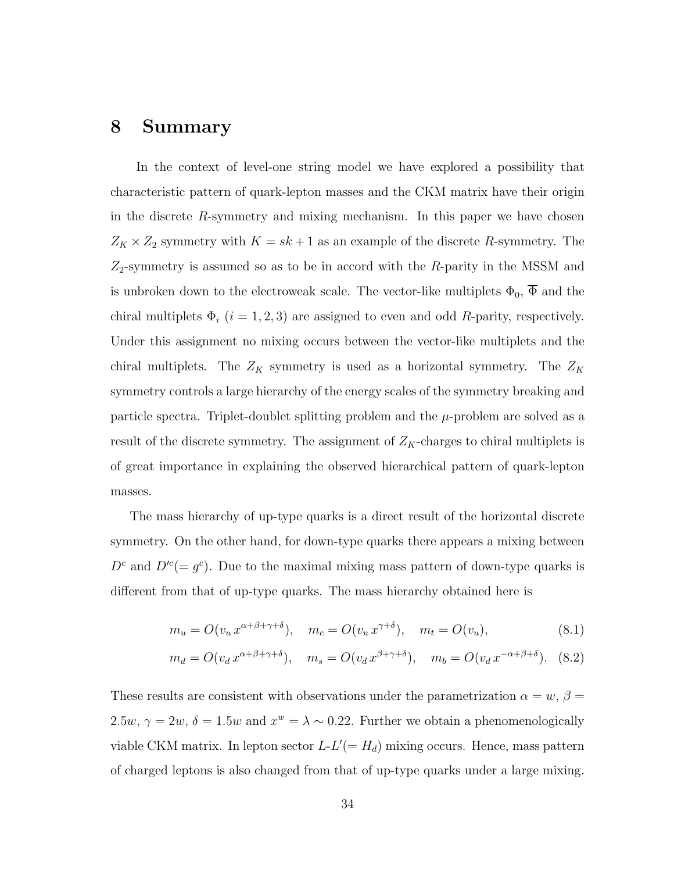### 8 Summary

In the context of level-one string model we have explored a possibility that characteristic pattern of quark-lepton masses and the CKM matrix have their origin in the discrete  $R$ -symmetry and mixing mechanism. In this paper we have chosen  $Z_K \times Z_2$  symmetry with  $K = sk + 1$  as an example of the discrete R-symmetry. The  $Z_2$ -symmetry is assumed so as to be in accord with the R-parity in the MSSM and is unbroken down to the electroweak scale. The vector-like multiplets  $\Phi_0$ ,  $\overline{\Phi}$  and the chiral multiplets  $\Phi_i$  (i = 1, 2, 3) are assigned to even and odd R-parity, respectively. Under this assignment no mixing occurs between the vector-like multiplets and the chiral multiplets. The  $Z_K$  symmetry is used as a horizontal symmetry. The  $Z_K$ symmetry controls a large hierarchy of the energy scales of the symmetry breaking and particle spectra. Triplet-doublet splitting problem and the  $\mu$ -problem are solved as a result of the discrete symmetry. The assignment of  $Z_K$ -charges to chiral multiplets is of great importance in explaining the observed hierarchical pattern of quark-lepton masses.

The mass hierarchy of up-type quarks is a direct result of the horizontal discrete symmetry. On the other hand, for down-type quarks there appears a mixing between  $D<sup>c</sup>$  and  $D'<sup>c</sup> (= g<sup>c</sup>)$ . Due to the maximal mixing mass pattern of down-type quarks is different from that of up-type quarks. The mass hierarchy obtained here is

$$
m_u = O(v_u x^{\alpha + \beta + \gamma + \delta}), \quad m_c = O(v_u x^{\gamma + \delta}), \quad m_t = O(v_u), \tag{8.1}
$$

$$
m_d = O(v_d x^{\alpha + \beta + \gamma + \delta}), \quad m_s = O(v_d x^{\beta + \gamma + \delta}), \quad m_b = O(v_d x^{-\alpha + \beta + \delta}). \tag{8.2}
$$

These results are consistent with observations under the parametrization  $\alpha = w, \beta =$ 2.5w,  $\gamma = 2w$ ,  $\delta = 1.5w$  and  $x^w = \lambda \sim 0.22$ . Further we obtain a phenomenologically viable CKM matrix. In lepton sector  $L-L' (= H_d)$  mixing occurs. Hence, mass pattern of charged leptons is also changed from that of up-type quarks under a large mixing.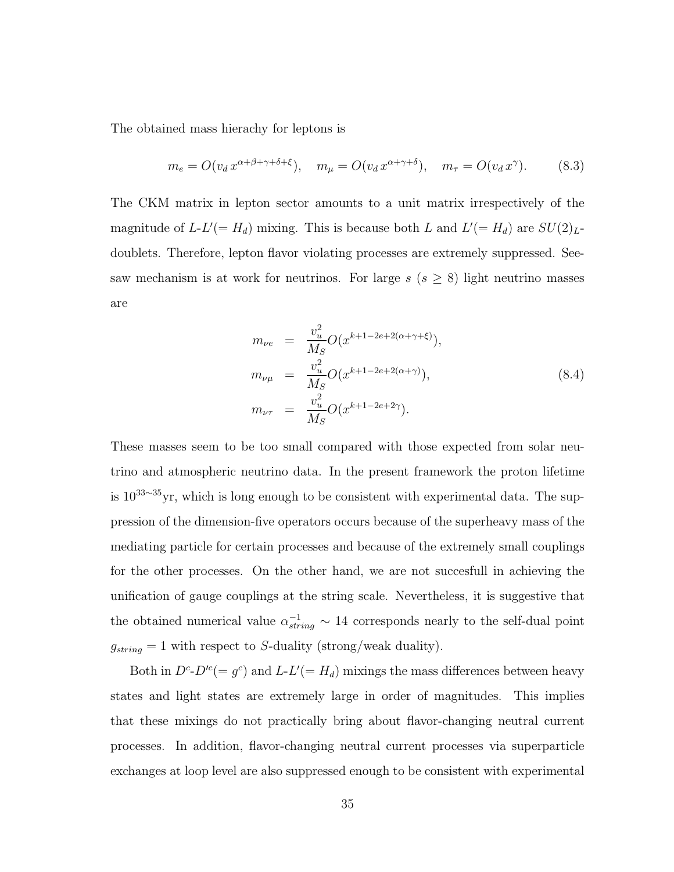The obtained mass hierachy for leptons is

$$
m_e = O(v_d x^{\alpha + \beta + \gamma + \delta + \xi}), \quad m_\mu = O(v_d x^{\alpha + \gamma + \delta}), \quad m_\tau = O(v_d x^\gamma). \tag{8.3}
$$

The CKM matrix in lepton sector amounts to a unit matrix irrespectively of the magnitude of  $L$ - $L'$ (=  $H_d$ ) mixing. This is because both L and  $L'$ (=  $H_d$ ) are  $SU(2)_{L}$ doublets. Therefore, lepton flavor violating processes are extremely suppressed. Seesaw mechanism is at work for neutrinos. For large  $s$  ( $s \geq 8$ ) light neutrino masses are

$$
m_{\nu e} = \frac{v_u^2}{M_S} O(x^{k+1-2e+2(\alpha+\gamma+\xi)}),
$$
  
\n
$$
m_{\nu\mu} = \frac{v_u^2}{M_S} O(x^{k+1-2e+2(\alpha+\gamma)}),
$$
  
\n
$$
m_{\nu\tau} = \frac{v_u^2}{M_S} O(x^{k+1-2e+2\gamma}).
$$
\n(8.4)

These masses seem to be too small compared with those expected from solar neutrino and atmospheric neutrino data. In the present framework the proton lifetime is 10<sup>33</sup>∼<sup>35</sup>yr, which is long enough to be consistent with experimental data. The suppression of the dimension-five operators occurs because of the superheavy mass of the mediating particle for certain processes and because of the extremely small couplings for the other processes. On the other hand, we are not succesfull in achieving the unification of gauge couplings at the string scale. Nevertheless, it is suggestive that the obtained numerical value  $\alpha_{string}^{-1} \sim 14$  corresponds nearly to the self-dual point  $g_{string} = 1$  with respect to S-duality (strong/weak duality).

Both in  $D^c$ - $D'^c$  =  $g^c$ ) and  $L$ - $L'$  =  $H_d$ ) mixings the mass differences between heavy states and light states are extremely large in order of magnitudes. This implies that these mixings do not practically bring about flavor-changing neutral current processes. In addition, flavor-changing neutral current processes via superparticle exchanges at loop level are also suppressed enough to be consistent with experimental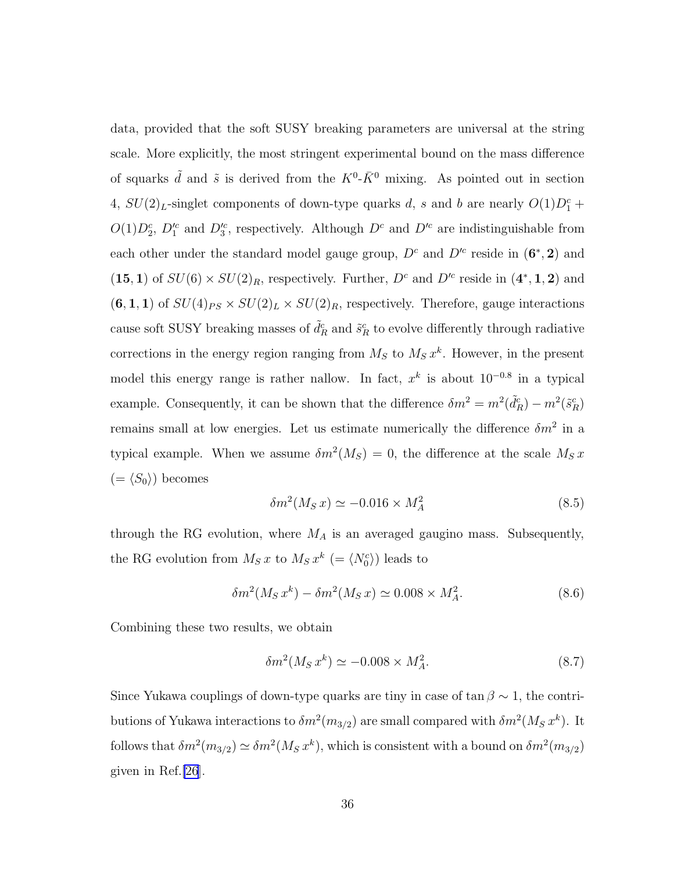data, provided that the soft SUSY breaking parameters are universal at the string scale. More explicitly, the most stringent experimental bound on the mass difference of squarks  $\tilde{d}$  and  $\tilde{s}$  is derived from the  $K^0$ - $\bar{K}^0$  mixing. As pointed out in section 4,  $SU(2)_L$ -singlet components of down-type quarks d, s and b are nearly  $O(1)D_1^c$  +  $O(1)D_2^c$ ,  $D_1^{\prime c}$  and  $D_3^{\prime c}$ , respectively. Although  $D^c$  and  $D^{\prime c}$  are indistinguishable from each other under the standard model gauge group,  $D<sup>c</sup>$  and  $D<sup>/c</sup>$  reside in  $(6^*, 2)$  and (15, 1) of  $SU(6) \times SU(2)_R$ , respectively. Further,  $D<sup>c</sup>$  and  $D<sup>/c</sup>$  reside in  $(4^*, 1, 2)$  and  $(6, 1, 1)$  of  $SU(4)_{PS} \times SU(2)_L \times SU(2)_R$ , respectively. Therefore, gauge interactions cause soft SUSY breaking masses of  $\tilde{d}_R^c$  and  $\tilde{s}_R^c$  to evolve differently through radiative corrections in the energy region ranging from  $M_S$  to  $M_S x^k$ . However, in the present model this energy range is rather nallow. In fact,  $x^k$  is about  $10^{-0.8}$  in a typical example. Consequently, it can be shown that the difference  $\delta m^2 = m^2(\tilde{d}_R^c) - m^2(\tilde{s}_R^c)$ remains small at low energies. Let us estimate numerically the difference  $\delta m^2$  in a typical example. When we assume  $\delta m^2(M_S) = 0$ , the difference at the scale  $M_S x$  $(=\langle S_0 \rangle)$  becomes

$$
\delta m^2(M_S x) \simeq -0.016 \times M_A^2 \tag{8.5}
$$

through the RG evolution, where  $M_A$  is an averaged gaugino mass. Subsequently, the RG evolution from  $M_S x$  to  $M_S x^k$  (=  $\langle N_0^c \rangle$ ) leads to

$$
\delta m^2(M_S x^k) - \delta m^2(M_S x) \simeq 0.008 \times M_A^2. \tag{8.6}
$$

Combining these two results, we obtain

$$
\delta m^2(M_S x^k) \simeq -0.008 \times M_A^2. \tag{8.7}
$$

Since Yukawa couplings of down-type quarks are tiny in case of  $\tan \beta \sim 1$ , the contributions of Yukawa interactions to  $\delta m^2(m_{3/2})$  are small compared with  $\delta m^2(M_S x^k)$ . It follows that  $\delta m^2(m_{3/2}) \simeq \delta m^2(M_S x^k)$ , which is consistent with a bound on  $\delta m^2(m_{3/2})$ given in Ref.[\[26](#page-46-0)].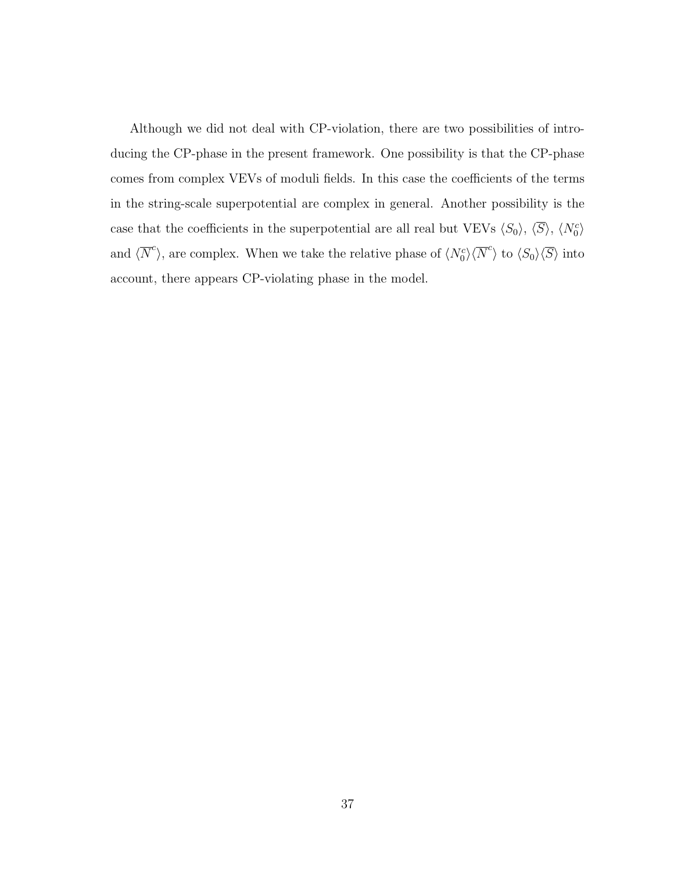Although we did not deal with CP-violation, there are two possibilities of introducing the CP-phase in the present framework. One possibility is that the CP-phase comes from complex VEVs of moduli fields. In this case the coefficients of the terms in the string-scale superpotential are complex in general. Another possibility is the case that the coefficients in the superpotential are all real but VEVs  $\langle S_0 \rangle$ ,  $\langle \overline{S} \rangle$ ,  $\langle N_0^c \rangle$ and  $\langle \overline{N}^c \rangle$ , are complex. When we take the relative phase of  $\langle N_0^c \rangle \langle \overline{N}^c \rangle$  to  $\langle S_0 \rangle \langle \overline{S} \rangle$  into account, there appears CP-violating phase in the model.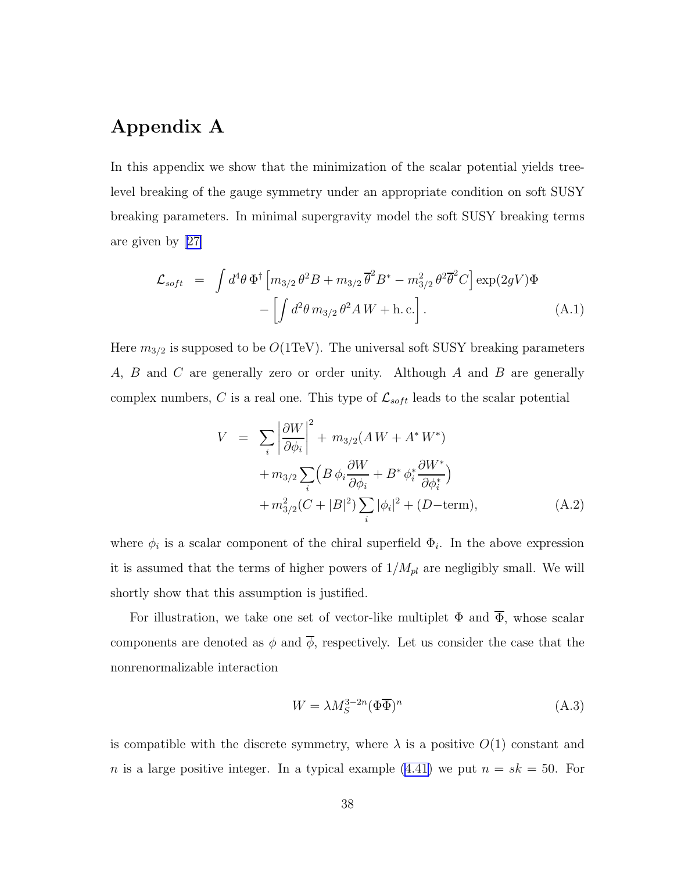# Appendix A

In this appendix we show that the minimization of the scalar potential yields treelevel breaking of the gauge symmetry under an appropriate condition on soft SUSY breaking parameters. In minimal supergravity model the soft SUSY breaking terms are given by[[27\]](#page-46-0)

$$
\mathcal{L}_{soft} = \int d^4\theta \, \Phi^{\dagger} \left[ m_{3/2} \, \theta^2 B + m_{3/2} \, \overline{\theta}^2 B^* - m_{3/2}^2 \, \theta^2 \overline{\theta}^2 C \right] \exp(2gV) \Phi - \left[ \int d^2\theta \, m_{3/2} \, \theta^2 A \, W + \text{h. c.} \right]. \tag{A.1}
$$

Here  $m_{3/2}$  is supposed to be  $O(1 \text{TeV})$ . The universal soft SUSY breaking parameters A, B and C are generally zero or order unity. Although A and B are generally complex numbers, C is a real one. This type of  $\mathcal{L}_{soft}$  leads to the scalar potential

$$
V = \sum_{i} \left| \frac{\partial W}{\partial \phi_{i}} \right|^{2} + m_{3/2} (AW + A^{*} W^{*})
$$
  
+  $m_{3/2} \sum_{i} \left( B \phi_{i} \frac{\partial W}{\partial \phi_{i}} + B^{*} \phi_{i}^{*} \frac{\partial W^{*}}{\partial \phi_{i}^{*}} \right)$   
+  $m_{3/2}^{2} (C + |B|^{2}) \sum_{i} |\phi_{i}|^{2} + (D - \text{term}),$  (A.2)

where  $\phi_i$  is a scalar component of the chiral superfield  $\Phi_i$ . In the above expression it is assumed that the terms of higher powers of  $1/M_{pl}$  are negligibly small. We will shortly show that this assumption is justified.

For illustration, we take one set of vector-like multiplet  $\Phi$  and  $\overline{\Phi}$ , whose scalar components are denoted as  $\phi$  and  $\overline{\phi}$ , respectively. Let us consider the case that the nonrenormalizable interaction

$$
W = \lambda M_S^{3-2n} (\Phi \overline{\Phi})^n \tag{A.3}
$$

is compatible with the discrete symmetry, where  $\lambda$  is a positive  $O(1)$  constant and n is a large positive integer. In a typical example  $(4.41)$  we put  $n = sk = 50$ . For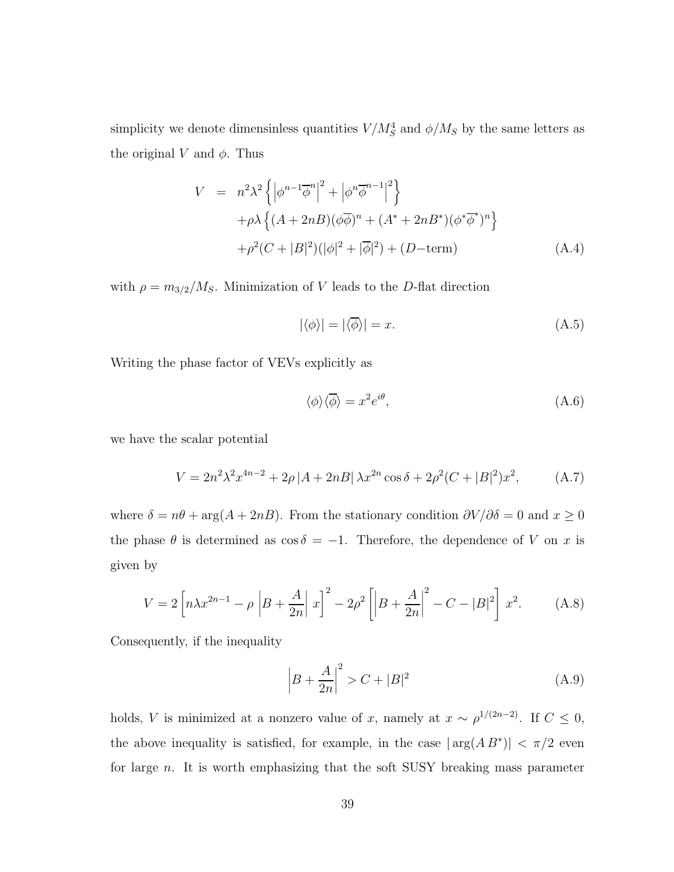simplicity we denote dimensinless quantities  $V/M_S^4$  and  $\phi/M_S$  by the same letters as the original V and  $\phi$ . Thus

$$
V = n^2 \lambda^2 \left\{ \left| \phi^{n-1} \overline{\phi}^n \right|^2 + \left| \phi^n \overline{\phi}^{n-1} \right|^2 \right\} + \rho \lambda \left\{ (A + 2n) (\phi \overline{\phi})^n + (A^* + 2n) (\phi^* \overline{\phi}^*)^n \right\} + \rho^2 (C + |B|^2) (\left| \phi \right|^2 + \left| \overline{\phi} \right|^2) + (D - \text{term})
$$
(A.4)

with  $\rho = m_{3/2}/M_S$ . Minimization of V leads to the D-flat direction

$$
|\langle \phi \rangle| = |\langle \overline{\phi} \rangle| = x. \tag{A.5}
$$

Writing the phase factor of VEVs explicitly as

$$
\langle \phi \rangle \langle \overline{\phi} \rangle = x^2 e^{i\theta}, \tag{A.6}
$$

we have the scalar potential

$$
V = 2n^2\lambda^2 x^{4n-2} + 2\rho |A + 2nB| \lambda x^{2n} \cos \delta + 2\rho^2 (C + |B|^2) x^2,
$$
 (A.7)

where  $\delta = n\theta + \arg(A + 2nB)$ . From the stationary condition  $\partial V/\partial \delta = 0$  and  $x \ge 0$ the phase  $\theta$  is determined as  $\cos \delta = -1$ . Therefore, the dependence of V on x is given by

$$
V = 2\left[n\lambda x^{2n-1} - \rho \left| B + \frac{A}{2n} \right| x\right]^2 - 2\rho^2 \left[ \left| B + \frac{A}{2n} \right|^2 - C - |B|^2 \right] x^2.
$$
 (A.8)

Consequently, if the inequality

$$
\left| B + \frac{A}{2n} \right|^2 > C + |B|^2 \tag{A.9}
$$

holds, *V* is minimized at a nonzero value of x, namely at  $x \sim \rho^{1/(2n-2)}$ . If  $C \le 0$ , the above inequality is satisfied, for example, in the case  $|\arg(A B^*)| < \pi/2$  even for large n. It is worth emphasizing that the soft SUSY breaking mass parameter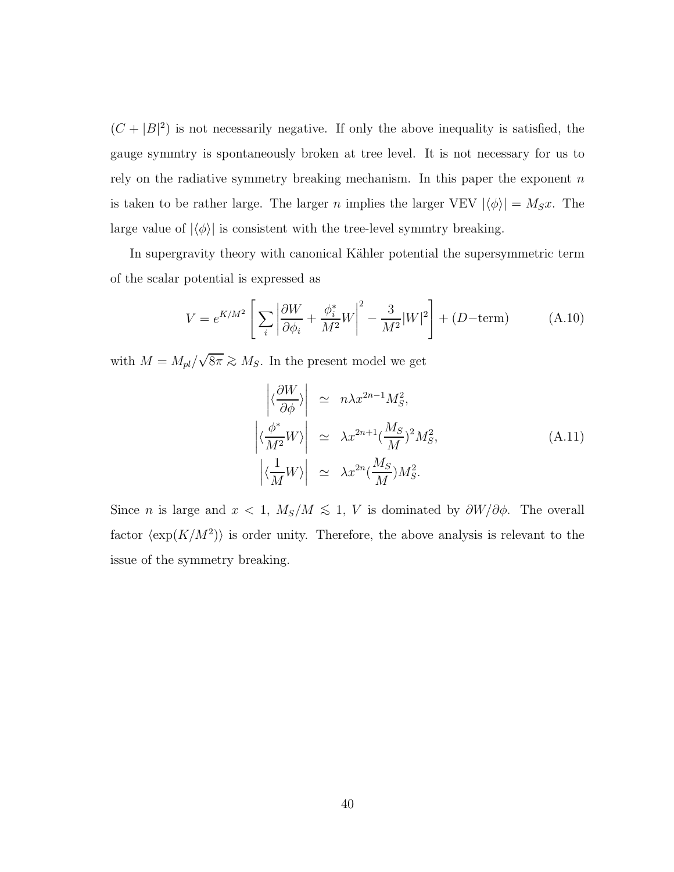$(C + |B|^2)$  is not necessarily negative. If only the above inequality is satisfied, the gauge symmtry is spontaneously broken at tree level. It is not necessary for us to rely on the radiative symmetry breaking mechanism. In this paper the exponent  $n$ is taken to be rather large. The larger n implies the larger VEV  $|\langle \phi \rangle| = M_S x$ . The large value of  $|\langle \phi \rangle|$  is consistent with the tree-level symmtry breaking.

In supergravity theory with canonical Kähler potential the supersymmetric term of the scalar potential is expressed as

$$
V = e^{K/M^2} \left[ \sum_i \left| \frac{\partial W}{\partial \phi_i} + \frac{\phi_i^*}{M^2} W \right|^2 - \frac{3}{M^2} |W|^2 \right] + (D - \text{term}) \tag{A.10}
$$

with  $M = M_{pl}/\sqrt{8\pi} \gtrsim M_S$ . In the present model we get

$$
\begin{aligned}\n\left| \langle \frac{\partial W}{\partial \phi} \rangle \right| &\simeq n\lambda x^{2n-1} M_S^2, \\
\left| \langle \frac{\phi^*}{M^2} W \rangle \right| &\simeq \lambda x^{2n+1} (\frac{M_S}{M})^2 M_S^2, \\
\left| \langle \frac{1}{M} W \rangle \right| &\simeq \lambda x^{2n} (\frac{M_S}{M}) M_S^2.\n\end{aligned} \tag{A.11}
$$

Since *n* is large and  $x < 1$ ,  $M_s/M \le 1$ , V is dominated by  $\partial W/\partial \phi$ . The overall factor  $\langle \exp(K/M^2) \rangle$  is order unity. Therefore, the above analysis is relevant to the issue of the symmetry breaking.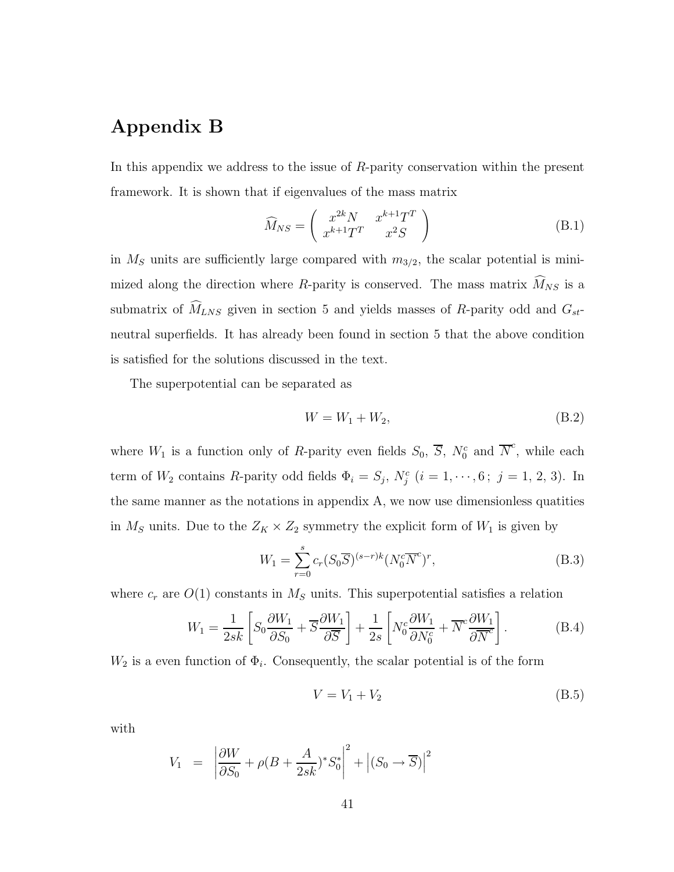# Appendix B

In this appendix we address to the issue of R-parity conservation within the present framework. It is shown that if eigenvalues of the mass matrix

$$
\widehat{M}_{NS} = \begin{pmatrix} x^{2k}N & x^{k+1}T^T \\ x^{k+1}T^T & x^2S \end{pmatrix}
$$
\n(B.1)

in  $M<sub>S</sub>$  units are sufficiently large compared with  $m<sub>3/2</sub>$ , the scalar potential is minimized along the direction where R-parity is conserved. The mass matrix  $\widehat{M}_{NS}$  is a submatrix of  $\widehat{M}_{LNS}$  given in section 5 and yields masses of R-parity odd and  $G_{st}$ neutral superfields. It has already been found in section 5 that the above condition is satisfied for the solutions discussed in the text.

The superpotential can be separated as

$$
W = W_1 + W_2,\tag{B.2}
$$

where  $W_1$  is a function only of R-parity even fields  $S_0$ ,  $\overline{S}$ ,  $N_0^c$  and  $\overline{N}^c$ , while each term of  $W_2$  contains R-parity odd fields  $\Phi_i = S_j$ ,  $N_j^c$   $(i = 1, \dots, 6; j = 1, 2, 3)$ . In the same manner as the notations in appendix A, we now use dimensionless quatities in  $M_S$  units. Due to the  $Z_K \times Z_2$  symmetry the explicit form of  $W_1$  is given by

$$
W_1 = \sum_{r=0}^{s} c_r (S_0 \overline{S})^{(s-r)k} (N_0^c \overline{N}^c)^r,
$$
\n(B.3)

where  $c_r$  are  $O(1)$  constants in  $M<sub>S</sub>$  units. This superpotential satisfies a relation

$$
W_1 = \frac{1}{2sk} \left[ S_0 \frac{\partial W_1}{\partial S_0} + \overline{S} \frac{\partial W_1}{\partial \overline{S}} \right] + \frac{1}{2s} \left[ N_0^c \frac{\partial W_1}{\partial N_0^c} + \overline{N}^c \frac{\partial W_1}{\partial \overline{N}^c} \right].
$$
 (B.4)

 $W_2$  is a even function of  $\Phi_i$ . Consequently, the scalar potential is of the form

$$
V = V_1 + V_2 \tag{B.5}
$$

with

$$
V_1 = \left| \frac{\partial W}{\partial S_0} + \rho (B + \frac{A}{2sk})^* S_0^* \right|^2 + \left| (S_0 \rightarrow \overline{S}) \right|^2
$$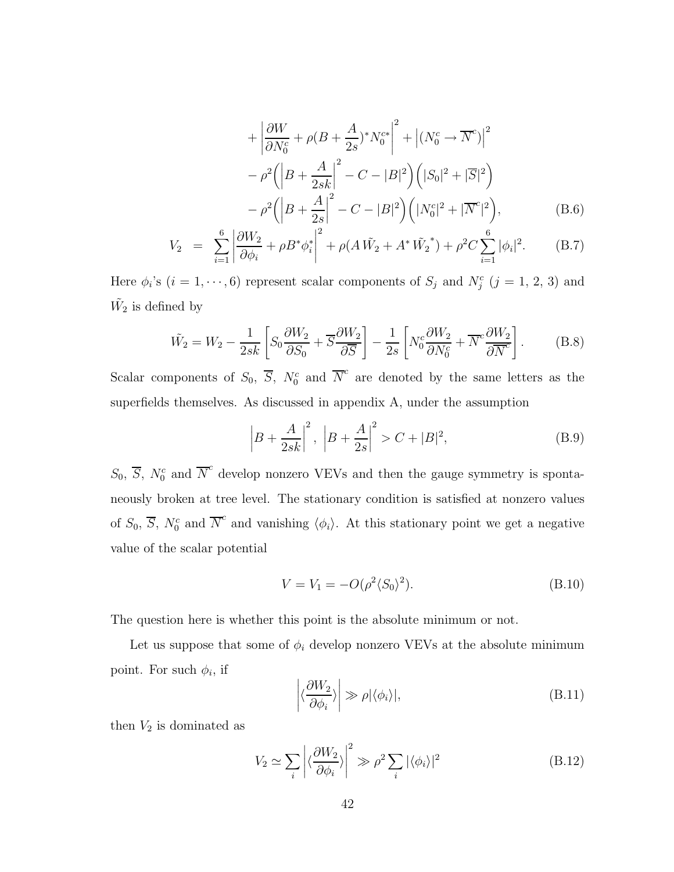$$
+\left|\frac{\partial W}{\partial N_0^c} + \rho (B + \frac{A}{2s})^* N_0^{c*}\right|^2 + \left| (N_0^c \to \overline{N}^c) \right|^2 -\rho^2 \left( \left| B + \frac{A}{2sk} \right|^2 - C - |B|^2 \right) \left( |S_0|^2 + |\overline{S}|^2 \right) -\rho^2 \left( \left| B + \frac{A}{2s} \right|^2 - C - |B|^2 \right) \left( |N_0^c|^2 + |\overline{N}^c|^2 \right),
$$
(B.6)

$$
V_2 = \sum_{i=1}^{6} \left| \frac{\partial W_2}{\partial \phi_i} + \rho B^* \phi_i^* \right|^2 + \rho (A \tilde{W}_2 + A^* \tilde{W}_2^*) + \rho^2 C \sum_{i=1}^{6} |\phi_i|^2.
$$
 (B.7)

Here  $\phi_i$ 's  $(i = 1, \dots, 6)$  represent scalar components of  $S_j$  and  $N_j^c$   $(j = 1, 2, 3)$  and  $\tilde{W_2}$  is defined by

$$
\tilde{W_2} = W_2 - \frac{1}{2sk} \left[ S_0 \frac{\partial W_2}{\partial S_0} + \overline{S} \frac{\partial W_2}{\partial \overline{S}} \right] - \frac{1}{2s} \left[ N_0^c \frac{\partial W_2}{\partial N_0^c} + \overline{N}^c \frac{\partial W_2}{\partial \overline{N}^c} \right].
$$
 (B.8)

Scalar components of  $S_0$ ,  $\overline{S}$ ,  $N_0^c$  and  $\overline{N}^c$  are denoted by the same letters as the superfields themselves. As discussed in appendix A, under the assumption

$$
\left| B + \frac{A}{2sk} \right|^2, \ \left| B + \frac{A}{2s} \right|^2 > C + |B|^2,\tag{B.9}
$$

 $S_0$ ,  $\overline{S}$ ,  $N_0^c$  and  $\overline{N}^c$  develop nonzero VEVs and then the gauge symmetry is spontaneously broken at tree level. The stationary condition is satisfied at nonzero values of  $S_0$ ,  $\overline{S}$ ,  $N_0^c$  and  $\overline{N}^c$  and vanishing  $\langle \phi_i \rangle$ . At this stationary point we get a negative value of the scalar potential

$$
V = V_1 = -O(\rho^2 \langle S_0 \rangle^2). \tag{B.10}
$$

The question here is whether this point is the absolute minimum or not.

Let us suppose that some of  $\phi_i$  develop nonzero VEVs at the absolute minimum point. For such  $\phi_i$ , if

$$
\left| \langle \frac{\partial W_2}{\partial \phi_i} \rangle \right| \gg \rho |\langle \phi_i \rangle|, \tag{B.11}
$$

then  $V_2$  is dominated as

$$
V_2 \simeq \sum_{i} \left| \langle \frac{\partial W_2}{\partial \phi_i} \rangle \right|^2 \gg \rho^2 \sum_{i} |\langle \phi_i \rangle|^2
$$
 (B.12)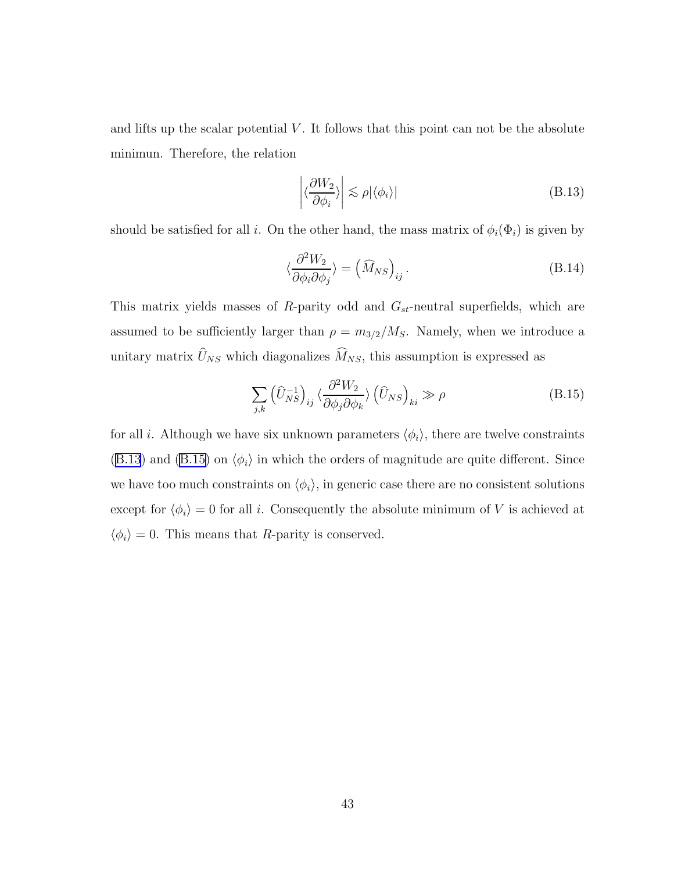and lifts up the scalar potential  $V$ . It follows that this point can not be the absolute minimun. Therefore, the relation

$$
\left| \langle \frac{\partial W_2}{\partial \phi_i} \rangle \right| \lesssim \rho |\langle \phi_i \rangle| \tag{B.13}
$$

should be satisfied for all i. On the other hand, the mass matrix of  $\phi_i(\Phi_i)$  is given by

$$
\langle \frac{\partial^2 W_2}{\partial \phi_i \partial \phi_j} \rangle = \left( \widehat{M}_{NS} \right)_{ij}.
$$
 (B.14)

This matrix yields masses of R-parity odd and  $G_{st}$ -neutral superfields, which are assumed to be sufficiently larger than  $\rho = m_{3/2}/M_S$ . Namely, when we introduce a unitary matrix  $U_{NS}$  which diagonalizes  $M_{NS}$ , this assumption is expressed as

$$
\sum_{j,k} \left(\hat{U}_{NS}^{-1}\right)_{ij} \langle \frac{\partial^2 W_2}{\partial \phi_j \partial \phi_k} \rangle \left(\hat{U}_{NS}\right)_{ki} \gg \rho \tag{B.15}
$$

for all i. Although we have six unknown parameters  $\langle \phi_i \rangle$ , there are twelve constraints (B.13) and (B.15) on  $\langle \phi_i \rangle$  in which the orders of magnitude are quite different. Since we have too much constraints on  $\langle \phi_i \rangle$ , in generic case there are no consistent solutions except for  $\langle \phi_i \rangle = 0$  for all i. Consequently the absolute minimum of V is achieved at  $\langle \phi_i \rangle = 0$ . This means that R-parity is conserved.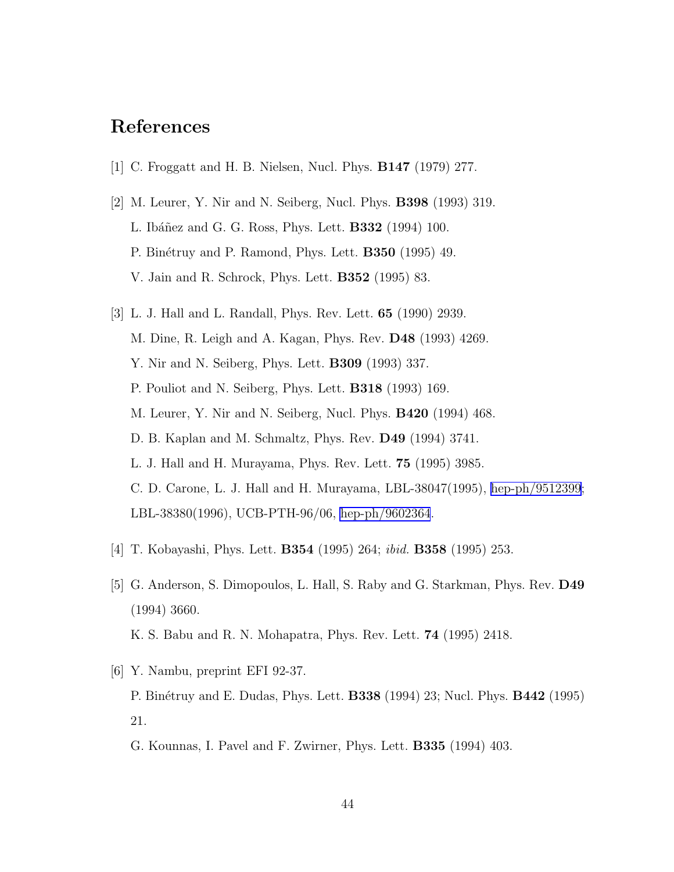# <span id="page-43-0"></span>References

- [1] C. Froggatt and H. B. Nielsen, Nucl. Phys. B147 (1979) 277.
- [2] M. Leurer, Y. Nir and N. Seiberg, Nucl. Phys. B398 (1993) 319. L. Ibáñez and G. G. Ross, Phys. Lett. **B332** (1994) 100. P. Binétruy and P. Ramond, Phys. Lett. **B350** (1995) 49. V. Jain and R. Schrock, Phys. Lett. B352 (1995) 83.
- [3] L. J. Hall and L. Randall, Phys. Rev. Lett. 65 (1990) 2939. M. Dine, R. Leigh and A. Kagan, Phys. Rev. D48 (1993) 4269. Y. Nir and N. Seiberg, Phys. Lett. B309 (1993) 337. P. Pouliot and N. Seiberg, Phys. Lett. B318 (1993) 169. M. Leurer, Y. Nir and N. Seiberg, Nucl. Phys. B420 (1994) 468. D. B. Kaplan and M. Schmaltz, Phys. Rev. D49 (1994) 3741. L. J. Hall and H. Murayama, Phys. Rev. Lett. 75 (1995) 3985. C. D. Carone, L. J. Hall and H. Murayama, LBL-38047(1995), [hep-ph/9512399](http://arXiv.org/abs/hep-ph/9512399); LBL-38380(1996), UCB-PTH-96/06, [hep-ph/9602364](http://arXiv.org/abs/hep-ph/9602364).
- [4] T. Kobayashi, Phys. Lett. B354 (1995) 264; ibid. B358 (1995) 253.
- [5] G. Anderson, S. Dimopoulos, L. Hall, S. Raby and G. Starkman, Phys. Rev. D49 (1994) 3660. K. S. Babu and R. N. Mohapatra, Phys. Rev. Lett. 74 (1995) 2418.
- [6] Y. Nambu, preprint EFI 92-37. P. Binétruy and E. Dudas, Phys. Lett. **B338** (1994) 23; Nucl. Phys. **B442** (1995) 21.
	- G. Kounnas, I. Pavel and F. Zwirner, Phys. Lett. B335 (1994) 403.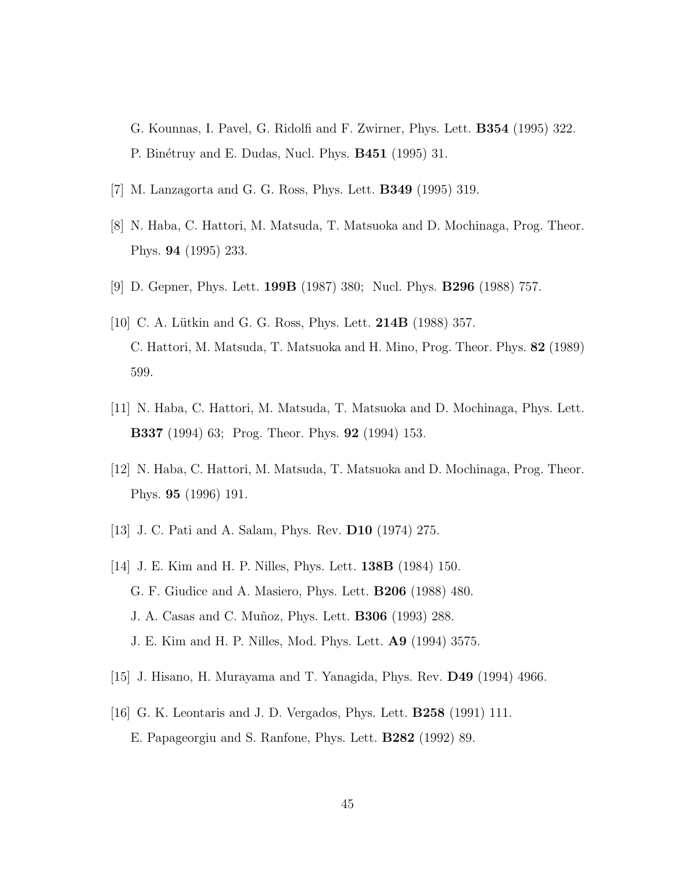- <span id="page-44-0"></span>G. Kounnas, I. Pavel, G. Ridolfi and F. Zwirner, Phys. Lett. B354 (1995) 322. P. Binétruy and E. Dudas, Nucl. Phys. **B451** (1995) 31.
- [7] M. Lanzagorta and G. G. Ross, Phys. Lett. B349 (1995) 319.
- [8] N. Haba, C. Hattori, M. Matsuda, T. Matsuoka and D. Mochinaga, Prog. Theor. Phys. 94 (1995) 233.
- [9] D. Gepner, Phys. Lett. 199B (1987) 380; Nucl. Phys. B296 (1988) 757.
- [10] C. A. Lütkin and G. G. Ross, Phys. Lett. **214B** (1988) 357. C. Hattori, M. Matsuda, T. Matsuoka and H. Mino, Prog. Theor. Phys. 82 (1989) 599.
- [11] N. Haba, C. Hattori, M. Matsuda, T. Matsuoka and D. Mochinaga, Phys. Lett. B337 (1994) 63; Prog. Theor. Phys. 92 (1994) 153.
- [12] N. Haba, C. Hattori, M. Matsuda, T. Matsuoka and D. Mochinaga, Prog. Theor. Phys. 95 (1996) 191.
- [13] J. C. Pati and A. Salam, Phys. Rev. D10 (1974) 275.
- [14] J. E. Kim and H. P. Nilles, Phys. Lett. 138B (1984) 150. G. F. Giudice and A. Masiero, Phys. Lett. B206 (1988) 480. J. A. Casas and C. Muñoz, Phys. Lett. **B306** (1993) 288. J. E. Kim and H. P. Nilles, Mod. Phys. Lett. A9 (1994) 3575.
- [15] J. Hisano, H. Murayama and T. Yanagida, Phys. Rev. D49 (1994) 4966.
- [16] G. K. Leontaris and J. D. Vergados, Phys. Lett. B258 (1991) 111. E. Papageorgiu and S. Ranfone, Phys. Lett. B282 (1992) 89.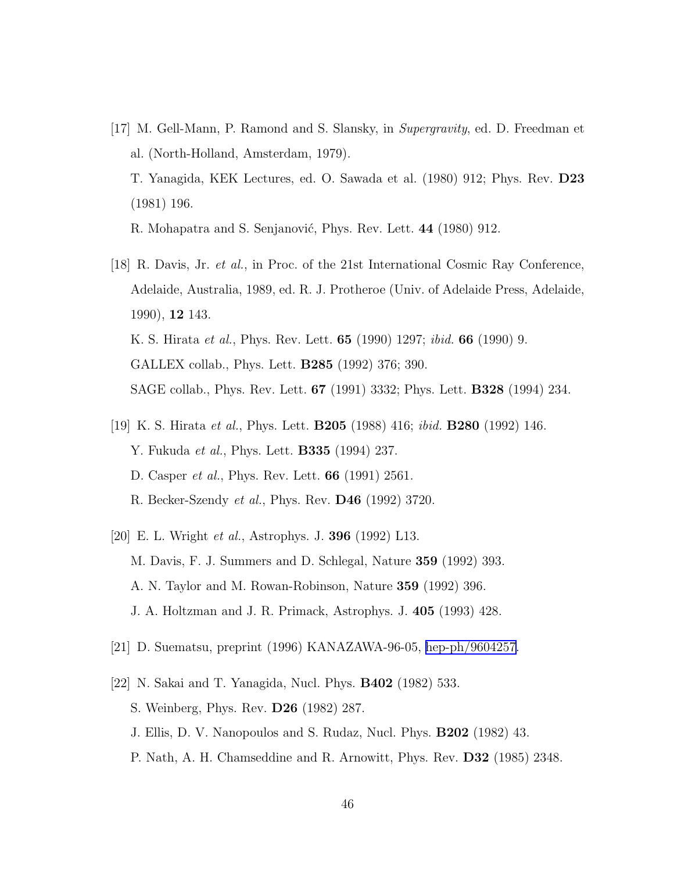<span id="page-45-0"></span>[17] M. Gell-Mann, P. Ramond and S. Slansky, in Supergravity, ed. D. Freedman et al. (North-Holland, Amsterdam, 1979). T. Yanagida, KEK Lectures, ed. O. Sawada et al. (1980) 912; Phys. Rev. D23

R. Mohapatra and S. Senjanović, Phys. Rev. Lett. 44 (1980) 912.

(1981) 196.

- [18] R. Davis, Jr. et al., in Proc. of the 21st International Cosmic Ray Conference, Adelaide, Australia, 1989, ed. R. J. Protheroe (Univ. of Adelaide Press, Adelaide, 1990), 12 143. K. S. Hirata *et al.*, Phys. Rev. Lett. **65** (1990) 1297; *ibid.* **66** (1990) 9. GALLEX collab., Phys. Lett. B285 (1992) 376; 390. SAGE collab., Phys. Rev. Lett. 67 (1991) 3332; Phys. Lett. B328 (1994) 234.
- [19] K. S. Hirata et al., Phys. Lett. B205 (1988) 416; ibid. B280 (1992) 146. Y. Fukuda *et al.*, Phys. Lett. **B335** (1994) 237. D. Casper *et al.*, Phys. Rev. Lett. **66** (1991) 2561. R. Becker-Szendy et al., Phys. Rev. D46 (1992) 3720.
- [20] E. L. Wright et al., Astrophys. J. 396 (1992) L13. M. Davis, F. J. Summers and D. Schlegal, Nature 359 (1992) 393. A. N. Taylor and M. Rowan-Robinson, Nature 359 (1992) 396. J. A. Holtzman and J. R. Primack, Astrophys. J. 405 (1993) 428.
- [21] D. Suematsu, preprint (1996) KANAZAWA-96-05, [hep-ph/9604257.](http://arXiv.org/abs/hep-ph/9604257)
- [22] N. Sakai and T. Yanagida, Nucl. Phys. B402 (1982) 533. S. Weinberg, Phys. Rev. D26 (1982) 287. J. Ellis, D. V. Nanopoulos and S. Rudaz, Nucl. Phys. B202 (1982) 43. P. Nath, A. H. Chamseddine and R. Arnowitt, Phys. Rev. D32 (1985) 2348.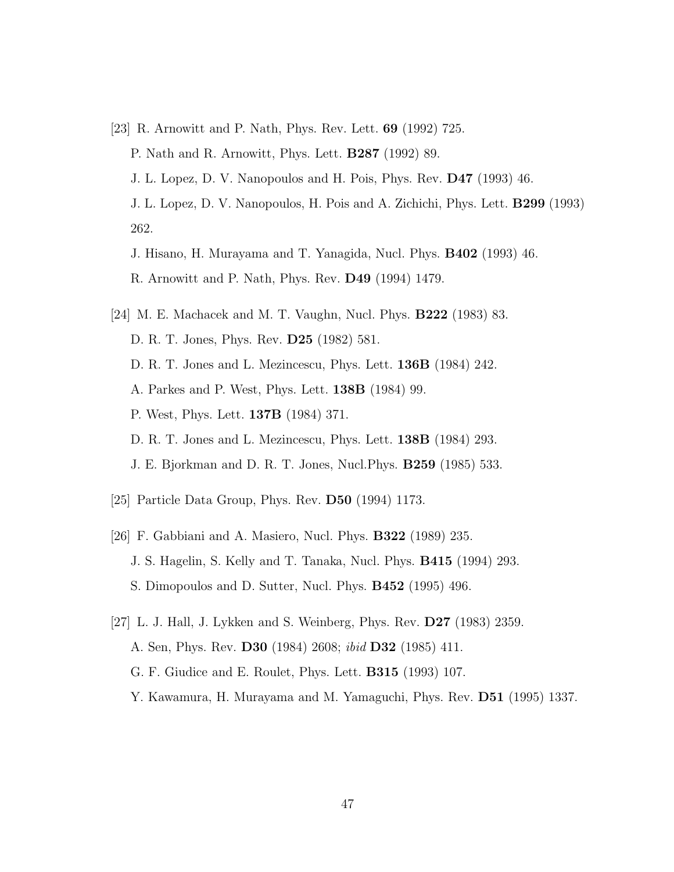<span id="page-46-0"></span>[23] R. Arnowitt and P. Nath, Phys. Rev. Lett. 69 (1992) 725. P. Nath and R. Arnowitt, Phys. Lett. B287 (1992) 89.

J. L. Lopez, D. V. Nanopoulos and H. Pois, Phys. Rev. D47 (1993) 46. J. L. Lopez, D. V. Nanopoulos, H. Pois and A. Zichichi, Phys. Lett. B299 (1993) 262.

- J. Hisano, H. Murayama and T. Yanagida, Nucl. Phys. B402 (1993) 46.
- R. Arnowitt and P. Nath, Phys. Rev. D49 (1994) 1479.
- [24] M. E. Machacek and M. T. Vaughn, Nucl. Phys. B222 (1983) 83. D. R. T. Jones, Phys. Rev. D25 (1982) 581. D. R. T. Jones and L. Mezincescu, Phys. Lett. 136B (1984) 242. A. Parkes and P. West, Phys. Lett. 138B (1984) 99. P. West, Phys. Lett. 137B (1984) 371. D. R. T. Jones and L. Mezincescu, Phys. Lett. 138B (1984) 293. J. E. Bjorkman and D. R. T. Jones, Nucl.Phys. B259 (1985) 533.
- [25] Particle Data Group, Phys. Rev. D50 (1994) 1173.
- [26] F. Gabbiani and A. Masiero, Nucl. Phys. B322 (1989) 235. J. S. Hagelin, S. Kelly and T. Tanaka, Nucl. Phys. B415 (1994) 293. S. Dimopoulos and D. Sutter, Nucl. Phys. B452 (1995) 496.
- [27] L. J. Hall, J. Lykken and S. Weinberg, Phys. Rev. D27 (1983) 2359. A. Sen, Phys. Rev. **D30** (1984) 2608; *ibid* **D32** (1985) 411. G. F. Giudice and E. Roulet, Phys. Lett. B315 (1993) 107. Y. Kawamura, H. Murayama and M. Yamaguchi, Phys. Rev. D51 (1995) 1337.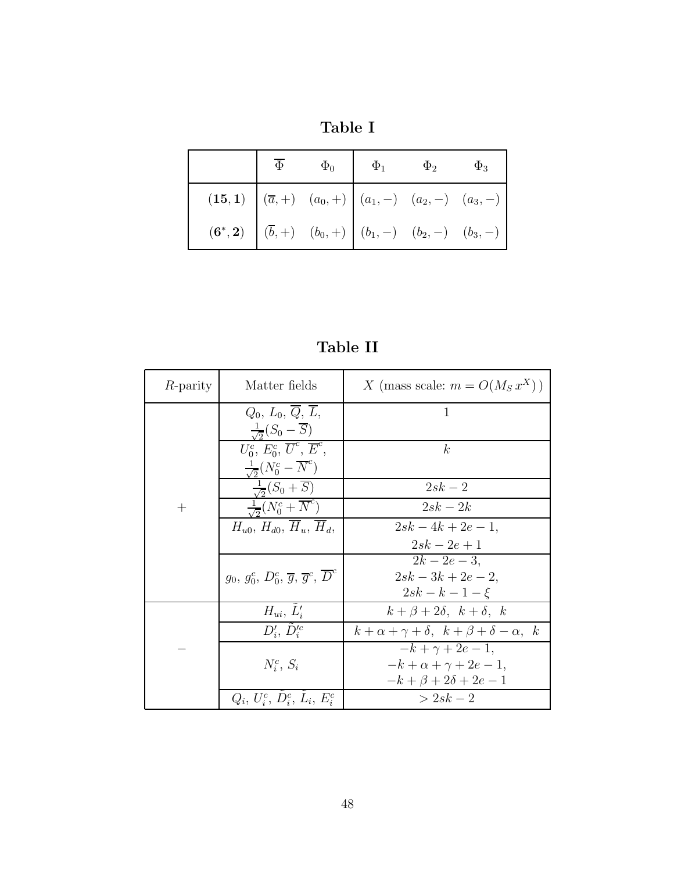|  | $\overline{\Phi}$ $\Phi_0$ $\Phi_1$ $\Phi_2$ $\Phi_3$                   |  |
|--|-------------------------------------------------------------------------|--|
|  | (15, 1) $(\overline{a}, +)$ $(a_0, +)$ $(a_1, -)$ $(a_2, -)$ $(a_3, -)$ |  |
|  |                                                                         |  |

Table II

| <i>R</i> -parity | Matter fields                                                            | X (mass scale: $m = O(M_S x^X)$ )                      |
|------------------|--------------------------------------------------------------------------|--------------------------------------------------------|
|                  | $Q_0, L_0, Q, \overline{L},$<br>$\frac{1}{\sqrt{2}}(S_0 - \overline{S})$ | 1                                                      |
|                  | $U_0^c, E_0^c, \overline{U}^c, \overline{E}^c,$                          | k                                                      |
|                  | $\frac{1}{\sqrt{2}}(N_0^c - \overline{N}^c)$                             |                                                        |
|                  | $\frac{1}{\sqrt{2}}(S_0+\overline{S})$                                   | $2sk-2$                                                |
| $^{+}$           | $\frac{1}{\sqrt{2}}(N_0^c + \overline{N}^c)$                             | $2sk-2k$                                               |
|                  | $H_{u0}, H_{d0}, \overline{H}_u, \overline{H}_d,$                        | $2sk-4k+2e-1$ ,                                        |
|                  |                                                                          | $2sk - 2e + 1$                                         |
|                  |                                                                          | $2k - 2e - 3$ ,                                        |
|                  | $g_0, g_0^c, D_0^c, \overline{g}, \overline{g}^c, \overline{D}^c$        | $2sk - 3k + 2e - 2$                                    |
|                  |                                                                          | $2sk - k - 1 - \xi$                                    |
|                  | $H_{ui}$ , $\tilde{L}'_i$                                                | $k+\beta+2\delta$ , $k+\delta$ , k                     |
|                  | $D_i', \tilde{D}_i'^c$                                                   | $k+\alpha+\gamma+\delta$ , $k+\beta+\delta-\alpha$ , k |
|                  |                                                                          | $-k + \gamma + 2e - 1$ ,                               |
|                  | $N_i^c$ , $S_i$                                                          | $-k+\alpha+\gamma+2e-1,$                               |
|                  |                                                                          | $-k+\beta+2\delta+2e-1$                                |
|                  | $Q_i, U_i^c, D_i^c, L_i, E_i^c$                                          | $> 2sk - 2$                                            |